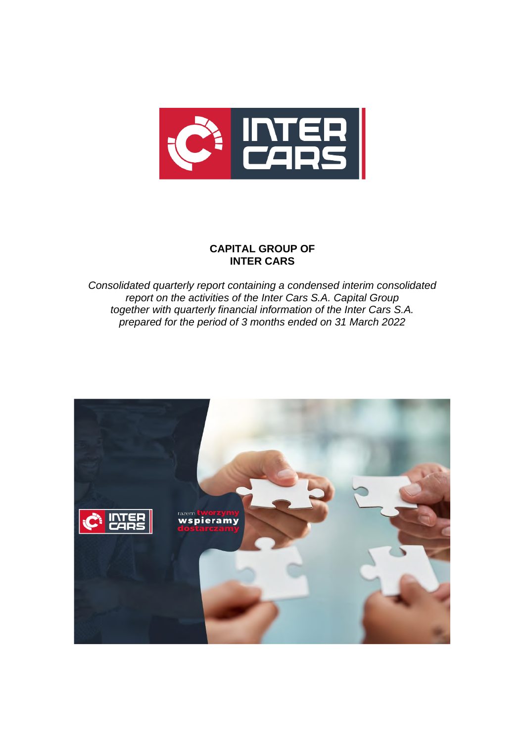

# **CAPITAL GROUP OF INTER CARS**

*Consolidated quarterly report containing a condensed interim consolidated report on the activities of the Inter Cars S.A. Capital Group together with quarterly financial information of the Inter Cars S.A. prepared for the period of 3 months ended on 31 March 2022*

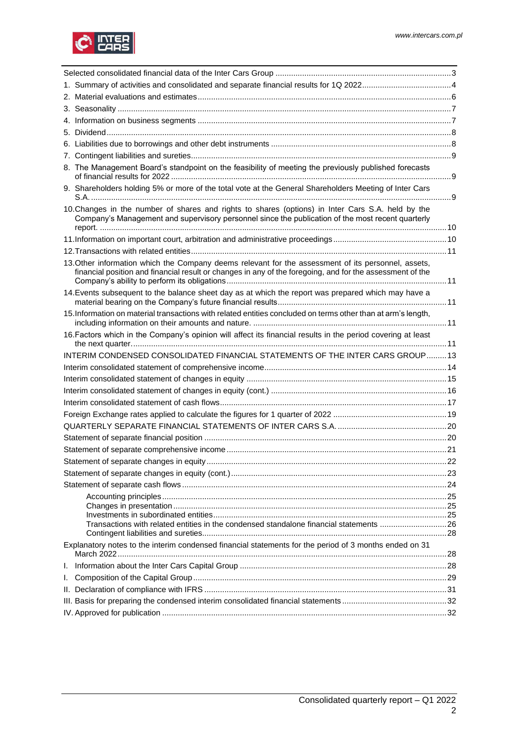

| 8. The Management Board's standpoint on the feasibility of meeting the previously published forecasts                                                                                                            |    |
|------------------------------------------------------------------------------------------------------------------------------------------------------------------------------------------------------------------|----|
| 9. Shareholders holding 5% or more of the total vote at the General Shareholders Meeting of Inter Cars                                                                                                           |    |
| 10. Changes in the number of shares and rights to shares (options) in Inter Cars S.A. held by the<br>Company's Management and supervisory personnel since the publication of the most recent quarterly           |    |
|                                                                                                                                                                                                                  |    |
|                                                                                                                                                                                                                  |    |
| 13. Other information which the Company deems relevant for the assessment of its personnel, assets,<br>financial position and financial result or changes in any of the foregoing, and for the assessment of the |    |
| 14. Events subsequent to the balance sheet day as at which the report was prepared which may have a                                                                                                              |    |
| 15. Information on material transactions with related entities concluded on terms other than at arm's length,                                                                                                    |    |
| 16. Factors which in the Company's opinion will affect its financial results in the period covering at least                                                                                                     |    |
| INTERIM CONDENSED CONSOLIDATED FINANCIAL STATEMENTS OF THE INTER CARS GROUP13                                                                                                                                    |    |
|                                                                                                                                                                                                                  |    |
|                                                                                                                                                                                                                  |    |
|                                                                                                                                                                                                                  |    |
|                                                                                                                                                                                                                  |    |
|                                                                                                                                                                                                                  |    |
|                                                                                                                                                                                                                  |    |
|                                                                                                                                                                                                                  |    |
|                                                                                                                                                                                                                  |    |
| Statement of separate changes in equity.                                                                                                                                                                         | 22 |
|                                                                                                                                                                                                                  |    |
|                                                                                                                                                                                                                  |    |
|                                                                                                                                                                                                                  |    |
|                                                                                                                                                                                                                  |    |
| Transactions with related entities in the condensed standalone financial statements 26                                                                                                                           |    |
|                                                                                                                                                                                                                  |    |
| Explanatory notes to the interim condensed financial statements for the period of 3 months ended on 31                                                                                                           |    |
|                                                                                                                                                                                                                  |    |
|                                                                                                                                                                                                                  |    |
|                                                                                                                                                                                                                  |    |
|                                                                                                                                                                                                                  |    |
|                                                                                                                                                                                                                  |    |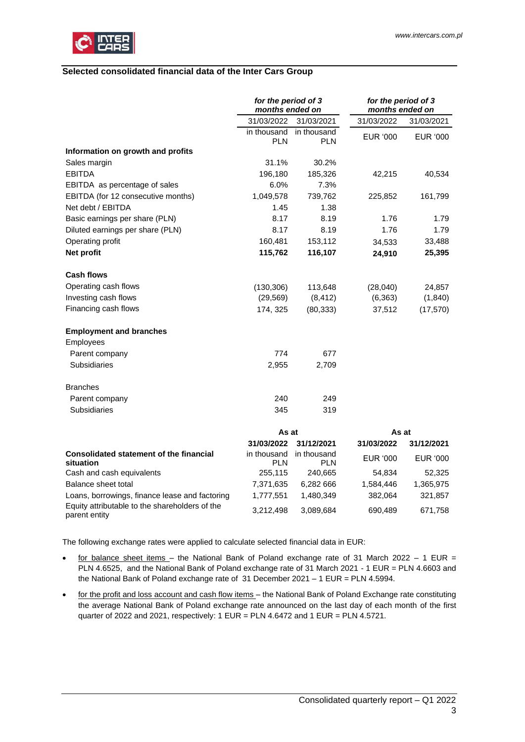

### <span id="page-2-0"></span>**Selected consolidated financial data of the Inter Cars Group**

|                                                             | for the period of 3<br>months ended on |                           | for the period of 3<br>months ended on |                 |
|-------------------------------------------------------------|----------------------------------------|---------------------------|----------------------------------------|-----------------|
|                                                             | 31/03/2022                             | 31/03/2021                | 31/03/2022                             | 31/03/2021      |
|                                                             | in thousand<br><b>PLN</b>              | in thousand<br><b>PLN</b> | <b>EUR '000</b>                        | <b>EUR '000</b> |
| Information on growth and profits                           |                                        |                           |                                        |                 |
| Sales margin                                                | 31.1%                                  | 30.2%                     |                                        |                 |
| <b>EBITDA</b>                                               | 196,180                                | 185,326                   | 42,215                                 | 40,534          |
| EBITDA as percentage of sales                               | 6.0%                                   | 7.3%                      |                                        |                 |
| EBITDA (for 12 consecutive months)                          | 1,049,578                              | 739,762                   | 225,852                                | 161,799         |
| Net debt / EBITDA                                           | 1.45                                   | 1.38                      |                                        |                 |
| Basic earnings per share (PLN)                              | 8.17                                   | 8.19                      | 1.76                                   | 1.79            |
| Diluted earnings per share (PLN)                            | 8.17                                   | 8.19                      | 1.76                                   | 1.79            |
| Operating profit                                            | 160,481                                | 153,112                   | 34,533                                 | 33,488          |
| Net profit                                                  | 115,762                                | 116,107                   | 24,910                                 | 25,395          |
| Cash flows                                                  |                                        |                           |                                        |                 |
| Operating cash flows                                        | (130, 306)                             | 113,648                   | (28,040)                               | 24,857          |
| Investing cash flows                                        | (29, 569)                              | (8, 412)                  | (6, 363)                               | (1, 840)        |
| Financing cash flows                                        | 174, 325                               | (80, 333)                 | 37,512                                 | (17, 570)       |
| <b>Employment and branches</b>                              |                                        |                           |                                        |                 |
| Employees                                                   |                                        |                           |                                        |                 |
| Parent company                                              | 774                                    | 677                       |                                        |                 |
| <b>Subsidiaries</b>                                         | 2,955                                  | 2,709                     |                                        |                 |
| <b>Branches</b>                                             |                                        |                           |                                        |                 |
| Parent company                                              | 240                                    | 249                       |                                        |                 |
| <b>Subsidiaries</b>                                         | 345                                    | 319                       |                                        |                 |
|                                                             | As at                                  |                           | As at                                  |                 |
|                                                             | 31/03/2022                             | 31/12/2021                | 31/03/2022                             | 31/12/2021      |
| <b>Consolidated statement of the financial</b><br>situation | in thousand<br><b>PLN</b>              | in thousand<br><b>PLN</b> | <b>EUR '000</b>                        | <b>EUR '000</b> |
| Cash and cash equivalents                                   | 255,115                                | 240,665                   | 54,834                                 | 52,325          |
| Balance sheet total                                         | 7,371,635                              | 6,282 666                 | 1,584,446                              | 1,365,975       |

Loans, borrowings, finance lease and factoring  $1,777,551$  1,480,349 382,064 321,857 Equity attributable to the shareholders of the parent entity 3,212,498 3,089,684 690,489 671,758

The following exchange rates were applied to calculate selected financial data in EUR:

- for balance sheet items the National Bank of Poland exchange rate of 31 March 2022 1 EUR = PLN 4.6525, and the National Bank of Poland exchange rate of 31 March 2021 - 1 EUR = PLN 4.6603 and the National Bank of Poland exchange rate of 31 December 2021 – 1 EUR = PLN 4.5994.
- for the profit and loss account and cash flow items the National Bank of Poland Exchange rate constituting the average National Bank of Poland exchange rate announced on the last day of each month of the first quarter of 2022 and 2021, respectively:  $1$  EUR = PLN  $4.6472$  and  $1$  EUR = PLN  $4.5721$ .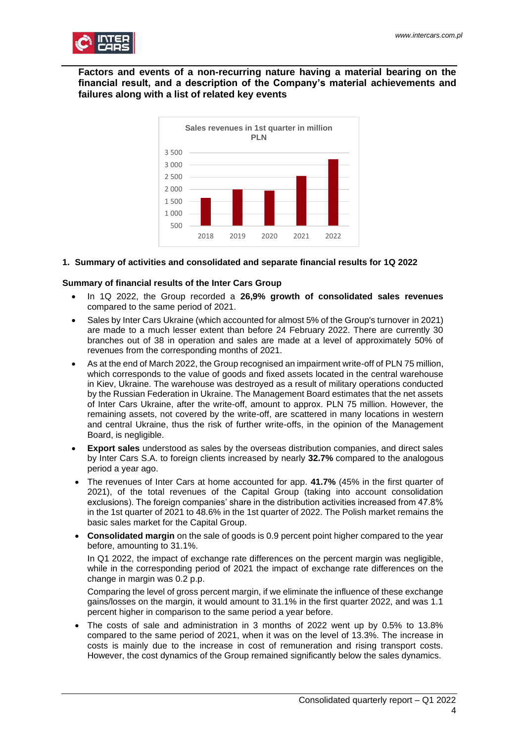

**Factors and events of a non-recurring nature having a material bearing on the financial result, and a description of the Company's material achievements and failures along with a list of related key events**



### <span id="page-3-0"></span>**1. Summary of activities and consolidated and separate financial results for 1Q 2022**

### **Summary of financial results of the Inter Cars Group**

- In 1Q 2022, the Group recorded a **26,9% growth of consolidated sales revenues** compared to the same period of 2021.
- Sales by Inter Cars Ukraine (which accounted for almost 5% of the Group's turnover in 2021) are made to a much lesser extent than before 24 February 2022. There are currently 30 branches out of 38 in operation and sales are made at a level of approximately 50% of revenues from the corresponding months of 2021.
- As at the end of March 2022, the Group recognised an impairment write-off of PLN 75 million, which corresponds to the value of goods and fixed assets located in the central warehouse in Kiev, Ukraine. The warehouse was destroyed as a result of military operations conducted by the Russian Federation in Ukraine. The Management Board estimates that the net assets of Inter Cars Ukraine, after the write-off, amount to approx. PLN 75 million. However, the remaining assets, not covered by the write-off, are scattered in many locations in western and central Ukraine, thus the risk of further write-offs, in the opinion of the Management Board, is negligible.
- **Export sales** understood as sales by the overseas distribution companies, and direct sales by Inter Cars S.A. to foreign clients increased by nearly **32.7%** compared to the analogous period a year ago.
- The revenues of Inter Cars at home accounted for app. **41.7%** (45% in the first quarter of 2021), of the total revenues of the Capital Group (taking into account consolidation exclusions). The foreign companies' share in the distribution activities increased from 47.8% in the 1st quarter of 2021 to 48.6% in the 1st quarter of 2022. The Polish market remains the basic sales market for the Capital Group.
- **Consolidated margin** on the sale of goods is 0.9 percent point higher compared to the year before, amounting to 31.1%.

In Q1 2022, the impact of exchange rate differences on the percent margin was negligible, while in the corresponding period of 2021 the impact of exchange rate differences on the change in margin was 0.2 p.p.

Comparing the level of gross percent margin, if we eliminate the influence of these exchange gains/losses on the margin, it would amount to 31.1% in the first quarter 2022, and was 1.1 percent higher in comparison to the same period a year before.

• The costs of sale and administration in 3 months of 2022 went up by 0.5% to 13.8% compared to the same period of 2021, when it was on the level of 13.3%. The increase in costs is mainly due to the increase in cost of remuneration and rising transport costs. However, the cost dynamics of the Group remained significantly below the sales dynamics.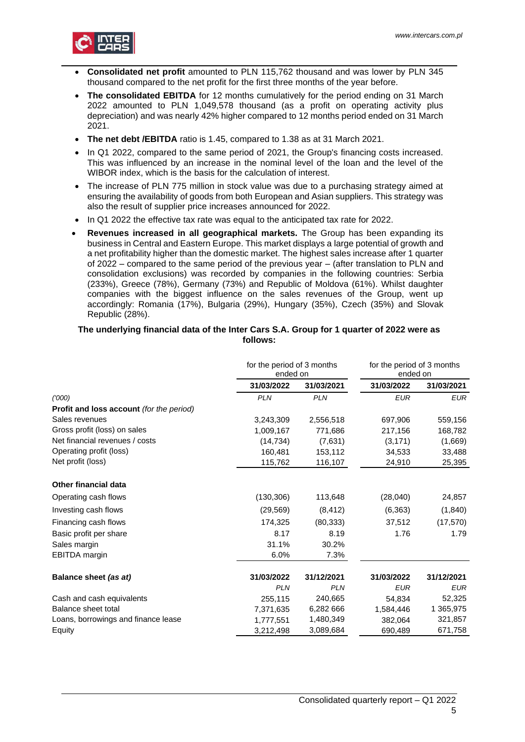

- **Consolidated net profit** amounted to PLN 115,762 thousand and was lower by PLN 345 thousand compared to the net profit for the first three months of the year before.
- **The consolidated EBITDA** for 12 months cumulatively for the period ending on 31 March 2022 amounted to PLN 1,049,578 thousand (as a profit on operating activity plus depreciation) and was nearly 42% higher compared to 12 months period ended on 31 March 2021.
- **The net debt /EBITDA** ratio is 1.45, compared to 1.38 as at 31 March 2021.
- In Q1 2022, compared to the same period of 2021, the Group's financing costs increased. This was influenced by an increase in the nominal level of the loan and the level of the WIBOR index, which is the basis for the calculation of interest.
- The increase of PLN 775 million in stock value was due to a purchasing strategy aimed at ensuring the availability of goods from both European and Asian suppliers. This strategy was also the result of supplier price increases announced for 2022.
- In Q1 2022 the effective tax rate was equal to the anticipated tax rate for 2022.
- **Revenues increased in all geographical markets.** The Group has been expanding its business in Central and Eastern Europe. This market displays a large potential of growth and a net profitability higher than the domestic market. The highest sales increase after 1 quarter of 2022 – compared to the same period of the previous year – (after translation to PLN and consolidation exclusions) was recorded by companies in the following countries: Serbia (233%), Greece (78%), Germany (73%) and Republic of Moldova (61%). Whilst daughter companies with the biggest influence on the sales revenues of the Group, went up accordingly: Romania (17%), Bulgaria (29%), Hungary (35%), Czech (35%) and Slovak Republic (28%).

### **The underlying financial data of the Inter Cars S.A. Group for 1 quarter of 2022 were as follows:**

|                                          | for the period of 3 months<br>ended on |            | for the period of 3 months<br>ended on |            |
|------------------------------------------|----------------------------------------|------------|----------------------------------------|------------|
|                                          | 31/03/2022                             | 31/03/2021 | 31/03/2022                             | 31/03/2021 |
| (1000)                                   | <b>PLN</b>                             | <b>PLN</b> | <b>EUR</b>                             | <b>EUR</b> |
| Profit and loss account (for the period) |                                        |            |                                        |            |
| Sales revenues                           | 3,243,309                              | 2,556,518  | 697,906                                | 559,156    |
| Gross profit (loss) on sales             | 1,009,167                              | 771,686    | 217,156                                | 168,782    |
| Net financial revenues / costs           | (14, 734)                              | (7,631)    | (3, 171)                               | (1,669)    |
| Operating profit (loss)                  | 160,481                                | 153,112    | 34,533                                 | 33,488     |
| Net profit (loss)                        | 115,762                                | 116,107    | 24,910                                 | 25,395     |
| Other financial data                     |                                        |            |                                        |            |
| Operating cash flows                     | (130, 306)                             | 113,648    | (28,040)                               | 24,857     |
| Investing cash flows                     | (29, 569)                              | (8, 412)   | (6, 363)                               | (1, 840)   |
| Financing cash flows                     | 174,325                                | (80, 333)  | 37,512                                 | (17, 570)  |
| Basic profit per share                   | 8.17                                   | 8.19       | 1.76                                   | 1.79       |
| Sales margin                             | 31.1%                                  | 30.2%      |                                        |            |
| <b>EBITDA</b> margin                     | 6.0%                                   | 7.3%       |                                        |            |
| Balance sheet (as at)                    | 31/03/2022                             | 31/12/2021 | 31/03/2022                             | 31/12/2021 |
|                                          | <b>PLN</b>                             | <b>PLN</b> | <b>EUR</b>                             | <b>EUR</b> |
| Cash and cash equivalents                | 255,115                                | 240,665    | 54,834                                 | 52,325     |
| Balance sheet total                      | 7,371,635                              | 6,282 666  | 1,584,446                              | 1 365,975  |
| Loans, borrowings and finance lease      | 1,777,551                              | 1,480,349  | 382,064                                | 321,857    |
| Equity                                   | 3,212,498                              | 3,089,684  | 690,489                                | 671,758    |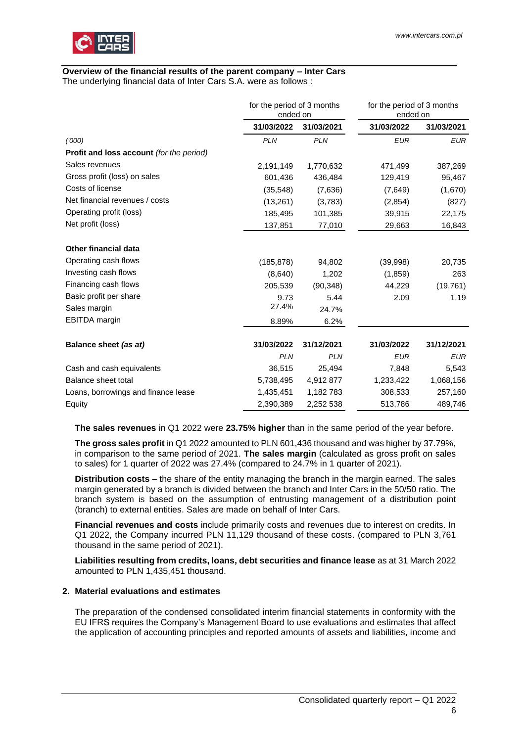

# **Overview of the financial results of the parent company – Inter Cars**

The underlying financial data of Inter Cars S.A. were as follows :

|                                                 | for the period of 3 months<br>ended on |            | for the period of 3 months<br>ended on |            |
|-------------------------------------------------|----------------------------------------|------------|----------------------------------------|------------|
|                                                 | 31/03/2022                             | 31/03/2021 | 31/03/2022                             | 31/03/2021 |
| (1000)                                          | <b>PLN</b>                             | <b>PLN</b> | <b>EUR</b>                             | <b>EUR</b> |
| <b>Profit and loss account</b> (for the period) |                                        |            |                                        |            |
| Sales revenues                                  | 2,191,149                              | 1,770,632  | 471,499                                | 387,269    |
| Gross profit (loss) on sales                    | 601,436                                | 436,484    | 129,419                                | 95,467     |
| Costs of license                                | (35, 548)                              | (7,636)    | (7,649)                                | (1,670)    |
| Net financial revenues / costs                  | (13,261)                               | (3,783)    | (2,854)                                | (827)      |
| Operating profit (loss)                         | 185,495                                | 101,385    | 39,915                                 | 22,175     |
| Net profit (loss)                               | 137,851                                | 77,010     | 29,663                                 | 16,843     |
| <b>Other financial data</b>                     |                                        |            |                                        |            |
| Operating cash flows                            | (185, 878)                             | 94,802     | (39,998)                               | 20,735     |
| Investing cash flows                            | (8,640)                                | 1,202      | (1,859)                                | 263        |
| Financing cash flows                            | 205,539                                | (90, 348)  | 44,229                                 | (19, 761)  |
| Basic profit per share                          | 9.73                                   | 5.44       | 2.09                                   | 1.19       |
| Sales margin                                    | 27.4%                                  | 24.7%      |                                        |            |
| <b>EBITDA</b> margin                            | 8.89%                                  | 6.2%       |                                        |            |
| Balance sheet (as at)                           | 31/03/2022                             | 31/12/2021 | 31/03/2022                             | 31/12/2021 |
|                                                 | <b>PLN</b>                             | <b>PLN</b> | <b>EUR</b>                             | <b>EUR</b> |
| Cash and cash equivalents                       | 36,515                                 | 25,494     | 7,848                                  | 5,543      |
| Balance sheet total                             | 5,738,495                              | 4,912 877  | 1,233,422                              | 1,068,156  |
| Loans, borrowings and finance lease             | 1,435,451                              | 1,182 783  | 308,533                                | 257,160    |
| Equity                                          | 2,390,389                              | 2,252 538  | 513,786                                | 489,746    |

**The sales revenues** in Q1 2022 were **23.75% higher** than in the same period of the year before.

**The gross sales profit** in Q1 2022 amounted to PLN 601,436 thousand and was higher by 37.79%, in comparison to the same period of 2021. **The sales margin** (calculated as gross profit on sales to sales) for 1 quarter of 2022 was 27.4% (compared to 24.7% in 1 quarter of 2021).

**Distribution costs** – the share of the entity managing the branch in the margin earned. The sales margin generated by a branch is divided between the branch and Inter Cars in the 50/50 ratio. The branch system is based on the assumption of entrusting management of a distribution point (branch) to external entities. Sales are made on behalf of Inter Cars.

**Financial revenues and costs** include primarily costs and revenues due to interest on credits. In Q1 2022, the Company incurred PLN 11,129 thousand of these costs. (compared to PLN 3,761 thousand in the same period of 2021).

**Liabilities resulting from credits, loans, debt securities and finance lease** as at 31 March 2022 amounted to PLN 1,435,451 thousand.

### <span id="page-5-0"></span>**2. Material evaluations and estimates**

The preparation of the condensed consolidated interim financial statements in conformity with the EU IFRS requires the Company's Management Board to use evaluations and estimates that affect the application of accounting principles and reported amounts of assets and liabilities, income and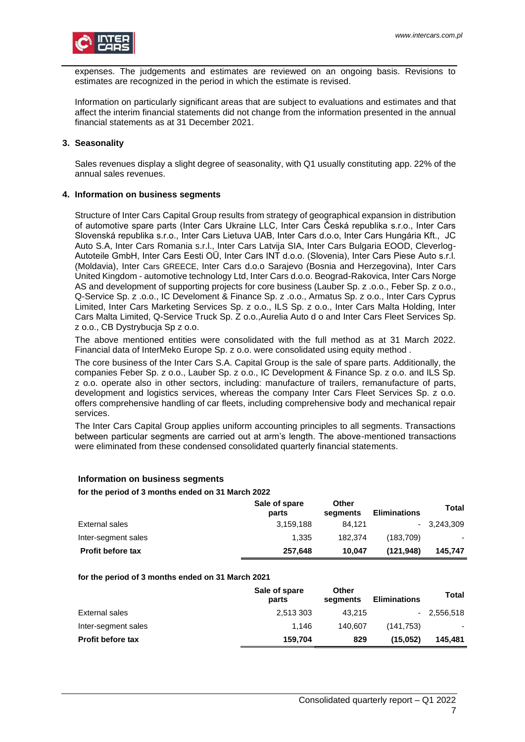expenses. The judgements and estimates are reviewed on an ongoing basis. Revisions to estimates are recognized in the period in which the estimate is revised.

Information on particularly significant areas that are subject to evaluations and estimates and that affect the interim financial statements did not change from the information presented in the annual financial statements as at 31 December 2021.

### <span id="page-6-0"></span>**3. Seasonality**

Sales revenues display a slight degree of seasonality, with Q1 usually constituting app. 22% of the annual sales revenues.

### <span id="page-6-1"></span>**4. Information on business segments**

Structure of Inter Cars Capital Group results from strategy of geographical expansion in distribution of automotive spare parts (Inter Cars Ukraine LLC, Inter Cars Česká republika s.r.o., Inter Cars Slovenská republika s.r.o., Inter Cars Lietuva UAB, Inter Cars d.o.o, Inter Cars Hungária Kft., JC Auto S.A, Inter Cars Romania s.r.l., Inter Cars Latvija SIA, Inter Cars Bulgaria EOOD, Cleverlog-Autoteile GmbH, Inter Cars Eesti OÜ, Inter Cars INT d.o.o. (Slovenia), Inter Cars Piese Auto s.r.l. (Moldavia), Inter Cars GREECE, Inter Cars d.o.o Sarajevo (Bosnia and Herzegovina), Inter Cars United Kingdom - automotive technology Ltd, Inter Cars d.o.o. Beograd-Rakovica, Inter Cars Norge AS and development of supporting projects for core business (Lauber Sp. z .o.o., Feber Sp. z o.o., Q-Service Sp. z .o.o., IC Develoment & Finance Sp. z .o.o., Armatus Sp. z o.o., Inter Cars Cyprus Limited, Inter Cars Marketing Services Sp. z o.o., ILS Sp. z o.o., Inter Cars Malta Holding, Inter Cars Malta Limited, Q-Service Truck Sp. Z o.o.,Aurelia Auto d o and Inter Cars Fleet Services Sp. z o.o., CB Dystrybucja Sp z o.o.

The above mentioned entities were consolidated with the full method as at 31 March 2022. Financial data of InterMeko Europe Sp. z o.o. were consolidated using equity method .

The core business of the Inter Cars S.A. Capital Group is the sale of spare parts. Additionally, the companies Feber Sp. z o.o., Lauber Sp. z o.o., IC Development & Finance Sp. z o.o. and ILS Sp. z o.o. operate also in other sectors, including: manufacture of trailers, remanufacture of parts, development and logistics services, whereas the company Inter Cars Fleet Services Sp. z o.o. offers comprehensive handling of car fleets, including comprehensive body and mechanical repair services.

The Inter Cars Capital Group applies uniform accounting principles to all segments. Transactions between particular segments are carried out at arm's length. The above-mentioned transactions were eliminated from these condensed consolidated quarterly financial statements.

### **Information on business segments**

#### **for the period of 3 months ended on 31 March 2022**

|                          | Sale of spare<br>parts | Other<br>segments | <b>Eliminations</b> | Total        |
|--------------------------|------------------------|-------------------|---------------------|--------------|
| External sales           | 3.159.188              | 84.121            |                     | $-3.243.309$ |
| Inter-segment sales      | 1.335                  | 182.374           | (183.709)           | ۰            |
| <b>Profit before tax</b> | 257,648                | 10.047            | (121.948)           | 145.747      |

#### **for the period of 3 months ended on 31 March 2021**

|                          | Sale of spare<br>parts | Other<br>segments | <b>Eliminations</b> | <b>Total</b> |
|--------------------------|------------------------|-------------------|---------------------|--------------|
| External sales           | 2.513 303              | 43.215            |                     | $-2,556,518$ |
| Inter-segment sales      | 1.146                  | 140.607           | (141.753)           |              |
| <b>Profit before tax</b> | 159.704                | 829               | (15.052)            | 145.481      |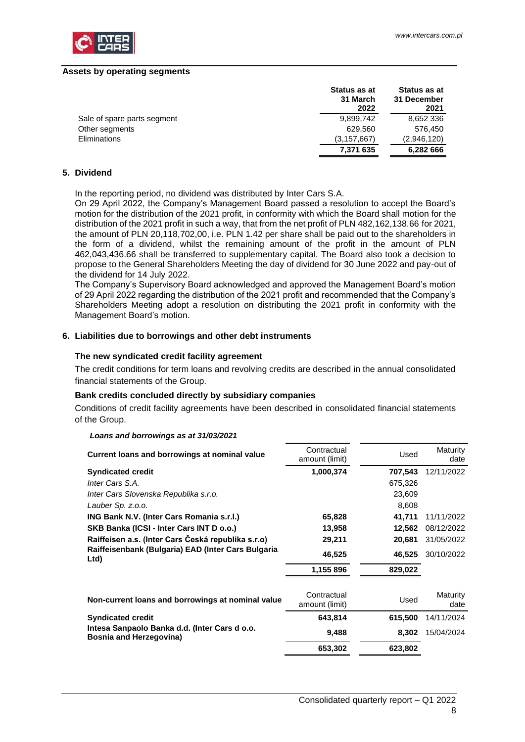

#### **Assets by operating segments**

|                             | Status as at<br>31 March<br>2022 | Status as at<br>31 December<br>2021 |
|-----------------------------|----------------------------------|-------------------------------------|
| Sale of spare parts segment | 9,899,742                        | 8,652 336                           |
| Other segments              | 629.560                          | 576.450                             |
| Eliminations                | (3, 157, 667)                    | (2,946,120)                         |
|                             | 7,371 635                        | 6,282 666                           |

### <span id="page-7-0"></span>**5. Dividend**

In the reporting period, no dividend was distributed by Inter Cars S.A.

On 29 April 2022, the Company's Management Board passed a resolution to accept the Board's motion for the distribution of the 2021 profit, in conformity with which the Board shall motion for the distribution of the 2021 profit in such a way, that from the net profit of PLN 482,162,138.66 for 2021, the amount of PLN 20,118,702,00, i.e. PLN 1.42 per share shall be paid out to the shareholders in the form of a dividend, whilst the remaining amount of the profit in the amount of PLN 462,043,436.66 shall be transferred to supplementary capital. The Board also took a decision to propose to the General Shareholders Meeting the day of dividend for 30 June 2022 and pay-out of the dividend for 14 July 2022.

The Company's Supervisory Board acknowledged and approved the Management Board's motion of 29 April 2022 regarding the distribution of the 2021 profit and recommended that the Company's Shareholders Meeting adopt a resolution on distributing the 2021 profit in conformity with the Management Board's motion.

#### <span id="page-7-1"></span>**6. Liabilities due to borrowings and other debt instruments**

#### **The new syndicated credit facility agreement**

The credit conditions for term loans and revolving credits are described in the annual consolidated financial statements of the Group.

#### **Bank credits concluded directly by subsidiary companies**

Conditions of credit facility agreements have been described in consolidated financial statements of the Group.

| Current loans and borrowings at nominal value                                   | Contractual<br>amount (limit) | Used    | Maturity<br>date |
|---------------------------------------------------------------------------------|-------------------------------|---------|------------------|
| <b>Syndicated credit</b>                                                        | 1,000,374                     | 707,543 | 12/11/2022       |
| Inter Cars S.A.                                                                 |                               | 675,326 |                  |
| Inter Cars Slovenska Republika s.r.o.                                           |                               | 23,609  |                  |
| Lauber Sp. z.o.o.                                                               |                               | 8,608   |                  |
| ING Bank N.V. (Inter Cars Romania s.r.l.)                                       | 65,828                        | 41,711  | 11/11/2022       |
| SKB Banka (ICSI - Inter Cars INT D o.o.)                                        | 13,958                        | 12,562  | 08/12/2022       |
| Raiffeisen a.s. (Inter Cars Česká republika s.r.o)                              | 29,211                        | 20,681  | 31/05/2022       |
| Raiffeisenbank (Bulgaria) EAD (Inter Cars Bulgaria<br>Ltd)                      | 46,525                        | 46,525  | 30/10/2022       |
|                                                                                 | 1,155 896                     | 829,022 |                  |
| Non-current loans and borrowings at nominal value                               | Contractual<br>amount (limit) | Used    | Maturity<br>date |
| <b>Syndicated credit</b>                                                        | 643,814                       | 615,500 | 14/11/2024       |
| Intesa Sanpaolo Banka d.d. (Inter Cars d o.o.<br><b>Bosnia and Herzegovina)</b> | 9,488                         | 8,302   | 15/04/2024       |
|                                                                                 | 653,302                       | 623,802 |                  |

### *Loans and borrowings as at 31/03/2021*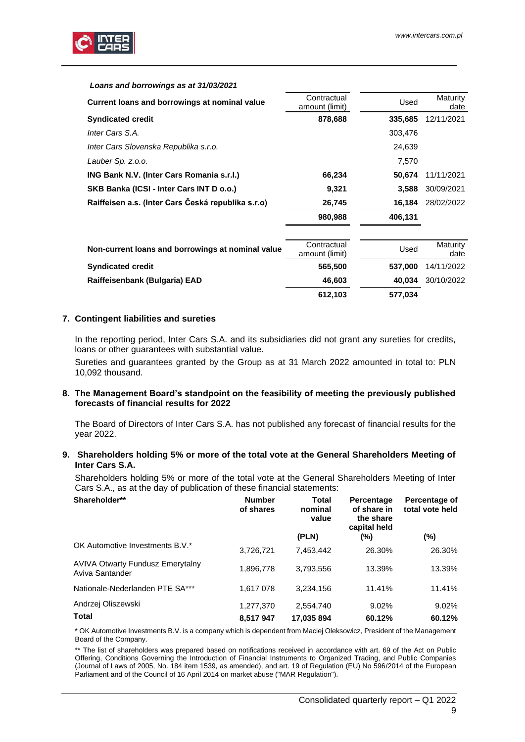

#### *Loans and borrowings as at 31/03/2021*

| Current loans and borrowings at nominal value      | Contractual<br>amount (limit) | Used    | Maturity<br>date |
|----------------------------------------------------|-------------------------------|---------|------------------|
| <b>Syndicated credit</b>                           | 878,688                       | 335,685 | 12/11/2021       |
| Inter Cars S.A.                                    |                               | 303,476 |                  |
| Inter Cars Slovenska Republika s.r.o.              |                               | 24,639  |                  |
| Lauber Sp. z.o.o.                                  |                               | 7.570   |                  |
| ING Bank N.V. (Inter Cars Romania s.r.l.)          | 66,234                        | 50.674  | 11/11/2021       |
| SKB Banka (ICSI - Inter Cars INT D o.o.)           | 9,321                         | 3.588   | 30/09/2021       |
| Raiffeisen a.s. (Inter Cars Česká republika s.r.o) | 26,745                        | 16.184  | 28/02/2022       |
|                                                    | 980,988                       | 406,131 |                  |

| Non-current loans and borrowings at nominal value | Contractual<br>amount (limit) | Used    | Maturity<br>date |
|---------------------------------------------------|-------------------------------|---------|------------------|
| <b>Syndicated credit</b>                          | 565,500                       | 537.000 | 14/11/2022       |
| Raiffeisenbank (Bulgaria) EAD                     | 46.603                        | 40.034  | 30/10/2022       |
|                                                   | 612,103                       | 577,034 |                  |

#### <span id="page-8-0"></span>**7. Contingent liabilities and sureties**

In the reporting period, Inter Cars S.A. and its subsidiaries did not grant any sureties for credits, loans or other guarantees with substantial value.

Sureties and guarantees granted by the Group as at 31 March 2022 amounted in total to: PLN 10,092 thousand.

#### <span id="page-8-1"></span>**8. The Management Board's standpoint on the feasibility of meeting the previously published forecasts of financial results for 2022**

The Board of Directors of Inter Cars S.A. has not published any forecast of financial results for the year 2022.

#### <span id="page-8-2"></span>**9. Shareholders holding 5% or more of the total vote at the General Shareholders Meeting of Inter Cars S.A.**

Shareholders holding 5% or more of the total vote at the General Shareholders Meeting of Inter Cars S.A., as at the day of publication of these financial statements:

| Shareholder**                                              | <b>Number</b><br>of shares | Total<br>nominal<br>value | Percentage<br>of share in<br>the share<br>capital held | Percentage of<br>total vote held |
|------------------------------------------------------------|----------------------------|---------------------------|--------------------------------------------------------|----------------------------------|
|                                                            |                            | (PLN)                     | (%)                                                    | $(\%)$                           |
| OK Automotive Investments B.V.*                            | 3,726,721                  | 7,453,442                 | 26.30%                                                 | 26.30%                           |
| <b>AVIVA Otwarty Fundusz Emerytalny</b><br>Aviva Santander | 1,896,778                  | 3,793,556                 | 13.39%                                                 | 13.39%                           |
| Nationale-Nederlanden PTE SA***                            | 1,617 078                  | 3,234,156                 | 11.41%                                                 | 11.41%                           |
| Andrzej Oliszewski                                         | 1,277,370                  | 2,554,740                 | 9.02%                                                  | 9.02%                            |
| Total                                                      | 8,517947                   | 17,035 894                | 60.12%                                                 | 60.12%                           |

\* OK Automotive Investments B.V. is a company which is dependent from Maciej Oleksowicz, President of the Management Board of the Company.

\*\* The list of shareholders was prepared based on notifications received in accordance with art. 69 of the Act on Public Offering, Conditions Governing the Introduction of Financial Instruments to Organized Trading, and Public Companies (Journal of Laws of 2005, No. 184 item 1539, as amended), and art. 19 of Regulation (EU) No 596/2014 of the European Parliament and of the Council of 16 April 2014 on market abuse ("MAR Regulation").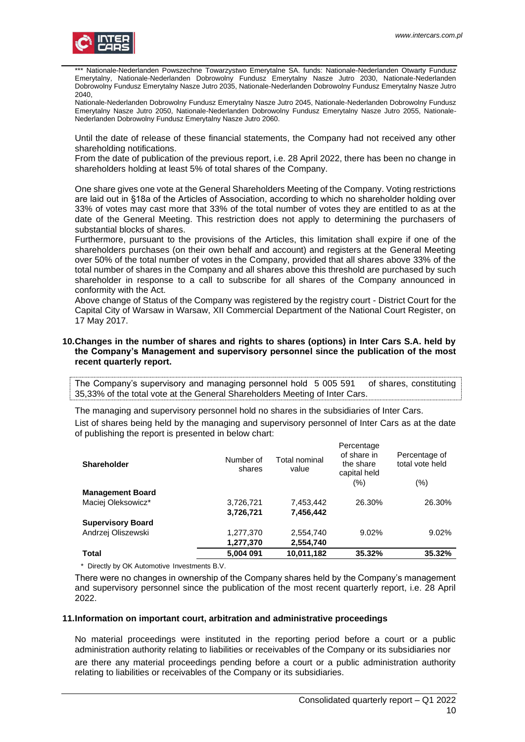

Nationale-Nederlanden Powszechne Towarzystwo Emerytalne SA. funds: Nationale-Nederlanden Otwarty Fundusz Emerytalny, Nationale-Nederlanden Dobrowolny Fundusz Emerytalny Nasze Jutro 2030, Nationale-Nederlanden Dobrowolny Fundusz Emerytalny Nasze Jutro 2035, Nationale-Nederlanden Dobrowolny Fundusz Emerytalny Nasze Jutro 2040,

Nationale-Nederlanden Dobrowolny Fundusz Emerytalny Nasze Jutro 2045, Nationale-Nederlanden Dobrowolny Fundusz Emerytalny Nasze Jutro 2050, Nationale-Nederlanden Dobrowolny Fundusz Emerytalny Nasze Jutro 2055, Nationale-Nederlanden Dobrowolny Fundusz Emerytalny Nasze Jutro 2060.

Until the date of release of these financial statements, the Company had not received any other shareholding notifications.

From the date of publication of the previous report, i.e. 28 April 2022, there has been no change in shareholders holding at least 5% of total shares of the Company.

One share gives one vote at the General Shareholders Meeting of the Company. Voting restrictions are laid out in §18a of the Articles of Association, according to which no shareholder holding over 33% of votes may cast more that 33% of the total number of votes they are entitled to as at the date of the General Meeting. This restriction does not apply to determining the purchasers of substantial blocks of shares.

Furthermore, pursuant to the provisions of the Articles, this limitation shall expire if one of the shareholders purchases (on their own behalf and account) and registers at the General Meeting over 50% of the total number of votes in the Company, provided that all shares above 33% of the total number of shares in the Company and all shares above this threshold are purchased by such shareholder in response to a call to subscribe for all shares of the Company announced in conformity with the Act.

Above change of Status of the Company was registered by the registry court - District Court for the Capital City of Warsaw in Warsaw, XII Commercial Department of the National Court Register, on 17 May 2017.

#### <span id="page-9-0"></span>**10.Changes in the number of shares and rights to shares (options) in Inter Cars S.A. held by the Company's Management and supervisory personnel since the publication of the most recent quarterly report.**

The Company's supervisory and managing personnel hold 5 005 591 of shares, constituting 35,33% of the total vote at the General Shareholders Meeting of Inter Cars.

The managing and supervisory personnel hold no shares in the subsidiaries of Inter Cars.

List of shares being held by the managing and supervisory personnel of Inter Cars as at the date of publishing the report is presented in below chart:

| <b>Shareholder</b>       | Number of<br>shares | Total nominal<br>value | Percentage<br>of share in<br>the share<br>capital held | Percentage of<br>total vote held |
|--------------------------|---------------------|------------------------|--------------------------------------------------------|----------------------------------|
|                          |                     |                        | (%)                                                    | $(\% )$                          |
| <b>Management Board</b>  |                     |                        |                                                        |                                  |
| Maciej Oleksowicz*       | 3,726,721           | 7,453,442              | 26.30%                                                 | 26.30%                           |
|                          | 3,726,721           | 7,456,442              |                                                        |                                  |
| <b>Supervisory Board</b> |                     |                        |                                                        |                                  |
| Andrzej Oliszewski       | 1,277,370           | 2,554,740              | 9.02%                                                  | 9.02%                            |
|                          | 1,277,370           | 2,554,740              |                                                        |                                  |
| Total                    | 5,004 091           | 10,011,182             | 35.32%                                                 | 35.32%                           |

\* Directly by OK Automotive Investments B.V.

There were no changes in ownership of the Company shares held by the Company's management and supervisory personnel since the publication of the most recent quarterly report, i.e. 28 April 2022.

#### <span id="page-9-1"></span>**11.Information on important court, arbitration and administrative proceedings**

No material proceedings were instituted in the reporting period before a court or a public administration authority relating to liabilities or receivables of the Company or its subsidiaries nor are there any material proceedings pending before a court or a public administration authority relating to liabilities or receivables of the Company or its subsidiaries.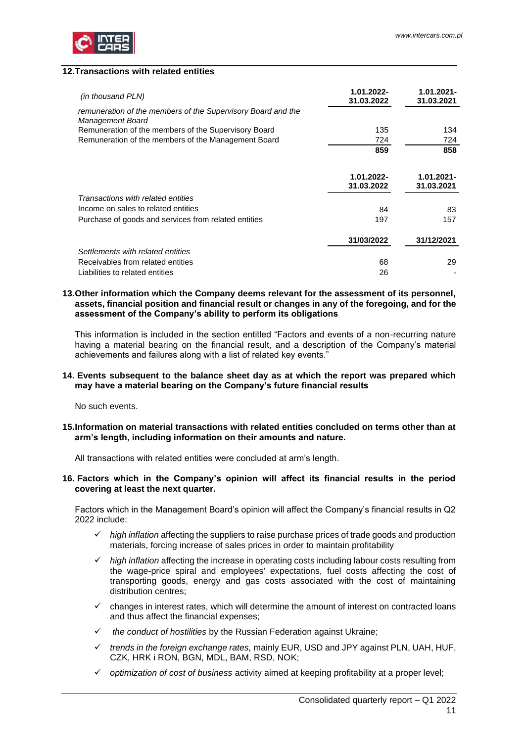

### <span id="page-10-0"></span>**12.Transactions with related entities**

| (in thousand PLN)                                                                | 1.01.2022-<br>31.03.2022 | 1.01.2021-<br>31.03.2021 |
|----------------------------------------------------------------------------------|--------------------------|--------------------------|
| remuneration of the members of the Supervisory Board and the<br>Management Board |                          |                          |
| Remuneration of the members of the Supervisory Board                             | 135                      | 134                      |
| Remuneration of the members of the Management Board                              | 724                      | 724                      |
|                                                                                  | 859                      | 858                      |
|                                                                                  | 1.01.2022-<br>31.03.2022 | 1.01.2021-<br>31.03.2021 |
| Transactions with related entities                                               |                          |                          |
| Income on sales to related entities                                              | 84                       | 83                       |
| Purchase of goods and services from related entities                             | 197                      | 157                      |
|                                                                                  | 31/03/2022               | 31/12/2021               |
| Settlements with related entities                                                |                          |                          |
| Receivables from related entities                                                | 68                       | 29                       |
| Liabilities to related entities                                                  | 26                       |                          |

#### <span id="page-10-1"></span>**13.Other information which the Company deems relevant for the assessment of its personnel, assets, financial position and financial result or changes in any of the foregoing, and for the assessment of the Company's ability to perform its obligations**

This information is included in the section entitled "Factors and events of a non-recurring nature having a material bearing on the financial result, and a description of the Company's material achievements and failures along with a list of related key events."

#### <span id="page-10-2"></span>**14. Events subsequent to the balance sheet day as at which the report was prepared which may have a material bearing on the Company's future financial results**

No such events.

<span id="page-10-3"></span>**15.Information on material transactions with related entities concluded on terms other than at arm's length, including information on their amounts and nature.**

<span id="page-10-4"></span>All transactions with related entities were concluded at arm's length.

#### **16. Factors which in the Company's opinion will affect its financial results in the period covering at least the next quarter.**

Factors which in the Management Board's opinion will affect the Company's financial results in Q2 2022 include:

- ✓ *high inflation* affecting the suppliers to raise purchase prices of trade goods and production materials, forcing increase of sales prices in order to maintain profitability
- ✓ *high inflation* affecting the increase in operating costs including labour costs resulting from the wage-price spiral and employees' expectations, fuel costs affecting the cost of transporting goods, energy and gas costs associated with the cost of maintaining distribution centres;
- changes in interest rates, which will determine the amount of interest on contracted loans and thus affect the financial expenses;
- ✓ *the conduct of hostilities* by the Russian Federation against Ukraine;
- ✓ *trends in the foreign exchange rates,* mainly EUR, USD and JPY against PLN, UAH, HUF, CZK, HRK i RON, BGN, MDL, BAM, RSD, NOK;
- ✓ *optimization of cost of business* activity aimed at keeping profitability at a proper level;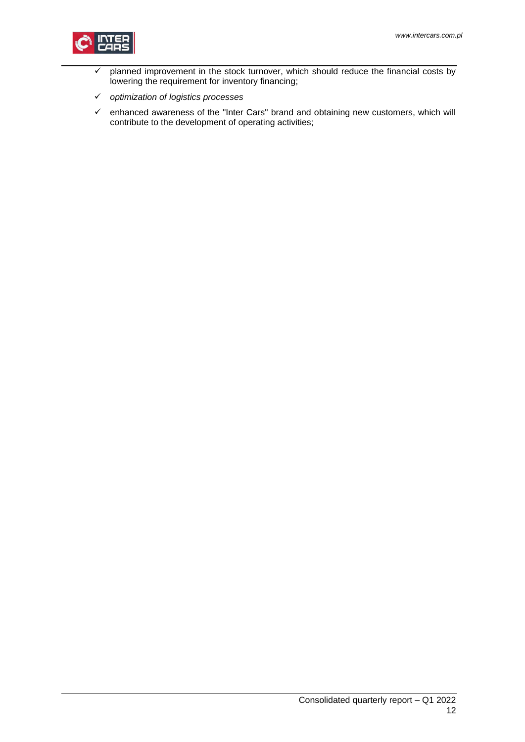

- $\checkmark$  planned improvement in the stock turnover, which should reduce the financial costs by lowering the requirement for inventory financing;
- ✓ *optimization of logistics processes*
- $\checkmark$  enhanced awareness of the "Inter Cars" brand and obtaining new customers, which will contribute to the development of operating activities;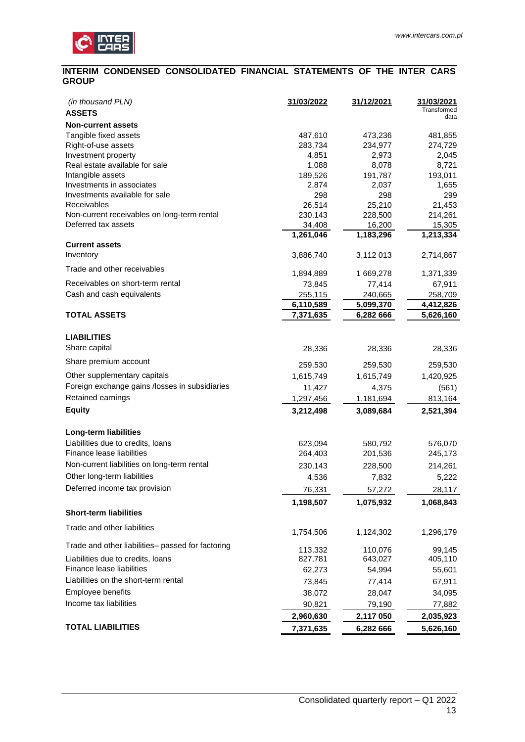

### <span id="page-12-0"></span>**INTERIM CONDENSED CONSOLIDATED FINANCIAL STATEMENTS OF THE INTER CARS GROUP**

| (in thousand PLN)                                 | 31/03/2022         | 31/12/2021             | 31/03/2021<br>Transformed |
|---------------------------------------------------|--------------------|------------------------|---------------------------|
| <b>ASSETS</b>                                     |                    |                        | data                      |
| <b>Non-current assets</b>                         |                    |                        |                           |
| Tangible fixed assets<br>Right-of-use assets      | 487,610<br>283,734 | 473,236<br>234,977     | 481,855<br>274,729        |
| Investment property                               | 4,851              | 2,973                  | 2,045                     |
| Real estate available for sale                    | 1,088              | 8,078                  | 8,721                     |
| Intangible assets                                 | 189,526            | 191,787                | 193,011                   |
| Investments in associates                         | 2,874              | 2,037                  | 1,655                     |
| Investments available for sale                    | 298                | 298                    | 299                       |
| Receivables                                       | 26,514             | 25,210                 | 21,453                    |
| Non-current receivables on long-term rental       | 230,143            | 228,500                | 214,261                   |
| Deferred tax assets                               | 34,408             | 16,200                 | 15,305                    |
|                                                   | 1,261,046          | $\overline{1,}183,296$ | 1,213,334                 |
| <b>Current assets</b>                             |                    |                        |                           |
| Inventory                                         | 3,886,740          | 3,112 013              | 2,714,867                 |
| Trade and other receivables                       | 1,894,889          | 1 669,278              | 1,371,339                 |
| Receivables on short-term rental                  | 73,845             | 77,414                 | 67,911                    |
| Cash and cash equivalents                         | 255,115            | 240,665                | 258,709                   |
|                                                   | 6,110,589          | 5,099,370              | 4,412,826                 |
| <b>TOTAL ASSETS</b>                               | 7,371,635          | 6,282 666              | 5,626,160                 |
|                                                   |                    |                        |                           |
| <b>LIABILITIES</b><br>Share capital               | 28,336             | 28,336                 | 28,336                    |
| Share premium account                             |                    |                        |                           |
|                                                   | 259,530            | 259,530                | 259,530                   |
| Other supplementary capitals                      | 1,615,749          | 1,615,749              | 1,420,925                 |
| Foreign exchange gains /losses in subsidiaries    | 11,427             | 4,375                  | (561)                     |
| Retained earnings                                 | 1,297,456          | 1,181,694              | 813,164                   |
| <b>Equity</b>                                     | 3,212,498          | 3,089,684              | 2,521,394                 |
| Long-term liabilities                             |                    |                        |                           |
| Liabilities due to credits, loans                 | 623,094            | 580,792                | 576,070                   |
| Finance lease liabilities                         | 264,403            | 201,536                | 245,173                   |
| Non-current liabilities on long-term rental       | 230,143            | 228,500                | 214,261                   |
| Other long-term liabilities                       |                    |                        |                           |
| Deferred income tax provision                     | 4,536              | 7,832                  | 5,222                     |
|                                                   | 76,331             | 57,272                 | 28,117                    |
| <b>Short-term liabilities</b>                     | 1,198,507          | 1,075,932              | 1,068,843                 |
|                                                   |                    |                        |                           |
| Trade and other liabilities                       | 1,754,506          | 1,124,302              | 1,296,179                 |
| Trade and other liabilities- passed for factoring | 113,332            | 110,076                | 99,145                    |
| Liabilities due to credits, loans                 | 827,781            | 643,027                | 405,110                   |
| Finance lease liabilities                         | 62,273             | 54,994                 | 55,601                    |
| Liabilities on the short-term rental              | 73,845             | 77,414                 | 67,911                    |
| Employee benefits                                 | 38,072             | 28,047                 | 34,095                    |
| Income tax liabilities                            | 90,821             | 79,190                 | 77,882                    |
|                                                   |                    |                        |                           |
|                                                   | 2,960,630          | 2,117 050              | 2,035,923                 |
| <b>TOTAL LIABILITIES</b>                          | 7,371,635          | 6,282 666              | 5,626,160                 |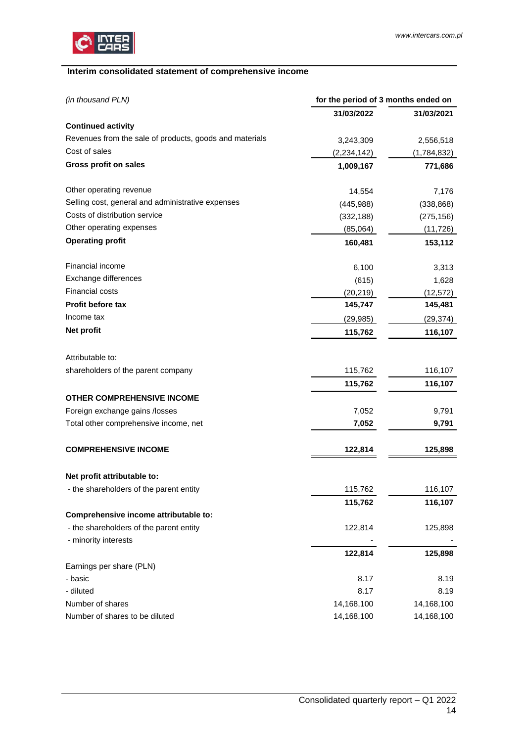

# <span id="page-13-0"></span>**Interim consolidated statement of comprehensive income**

| (in thousand PLN)                                       | for the period of 3 months ended on |             |  |
|---------------------------------------------------------|-------------------------------------|-------------|--|
|                                                         | 31/03/2022                          | 31/03/2021  |  |
| <b>Continued activity</b>                               |                                     |             |  |
| Revenues from the sale of products, goods and materials | 3,243,309                           | 2,556,518   |  |
| Cost of sales                                           | (2, 234, 142)                       | (1,784,832) |  |
| <b>Gross profit on sales</b>                            | 1,009,167                           | 771,686     |  |
| Other operating revenue                                 | 14,554                              | 7,176       |  |
| Selling cost, general and administrative expenses       | (445,988)                           | (338, 868)  |  |
| Costs of distribution service                           | (332, 188)                          | (275, 156)  |  |
| Other operating expenses                                | (85,064)                            | (11, 726)   |  |
| <b>Operating profit</b>                                 | 160,481                             | 153,112     |  |
| Financial income                                        | 6,100                               | 3,313       |  |
| Exchange differences                                    | (615)                               | 1,628       |  |
| Financial costs                                         | (20, 219)                           | (12, 572)   |  |
| Profit before tax                                       | 145,747                             | 145,481     |  |
| Income tax                                              | (29, 985)                           | (29, 374)   |  |
| Net profit                                              | 115,762                             | 116,107     |  |
| Attributable to:                                        |                                     |             |  |
| shareholders of the parent company                      | 115,762                             | 116,107     |  |
|                                                         | 115,762                             | 116,107     |  |
| <b>OTHER COMPREHENSIVE INCOME</b>                       |                                     |             |  |
| Foreign exchange gains /losses                          | 7,052                               | 9,791       |  |
| Total other comprehensive income, net                   | 7,052                               | 9,791       |  |
| <b>COMPREHENSIVE INCOME</b>                             | 122,814                             | 125,898     |  |
| Net profit attributable to:                             |                                     |             |  |
| - the shareholders of the parent entity                 | 115,762                             | 116,107     |  |
|                                                         | 115,762                             | 116,107     |  |
| Comprehensive income attributable to:                   |                                     |             |  |
| - the shareholders of the parent entity                 | 122,814                             | 125,898     |  |
| - minority interests                                    |                                     |             |  |
|                                                         | 122,814                             | 125,898     |  |
| Earnings per share (PLN)                                |                                     |             |  |
| - basic                                                 | 8.17                                | 8.19        |  |
| - diluted                                               | 8.17                                | 8.19        |  |
| Number of shares                                        | 14,168,100                          | 14,168,100  |  |
| Number of shares to be diluted                          | 14,168,100                          | 14,168,100  |  |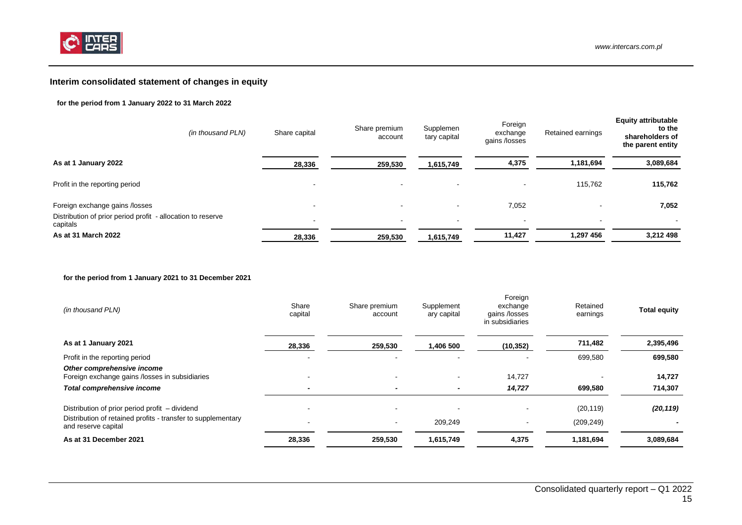

# **Interim consolidated statement of changes in equity**

#### **for the period from 1 January 2022 to 31 March 2022**

| (in thousand PLN)                                                                             | Share capital                                        | Share premium<br>account           | Supplemen<br>tary capital                            | Foreign<br>exchange<br>gains /losses | Retained earnings        | <b>Equity attributable</b><br>to the<br>shareholders of<br>the parent entity |
|-----------------------------------------------------------------------------------------------|------------------------------------------------------|------------------------------------|------------------------------------------------------|--------------------------------------|--------------------------|------------------------------------------------------------------------------|
| As at 1 January 2022                                                                          | 28,336                                               | 259,530                            | 1,615,749                                            | 4,375                                | 1,181,694                | 3,089,684                                                                    |
| Profit in the reporting period                                                                |                                                      | $\overline{\phantom{a}}$           |                                                      |                                      | 115,762                  | 115,762                                                                      |
| Foreign exchange gains /losses<br>Distribution of prior period profit - allocation to reserve | $\overline{\phantom{0}}$<br>$\overline{\phantom{a}}$ | $\overline{\phantom{0}}$<br>$\sim$ | $\overline{\phantom{a}}$<br>$\overline{\phantom{a}}$ | 7,052<br>$\overline{\phantom{a}}$    | $\overline{\phantom{a}}$ | 7,052<br>$\,$ $\,$                                                           |
| capitals<br>As at 31 March 2022                                                               | 28,336                                               | 259,530                            | 1,615,749                                            | 11,427                               | 1,297 456                | 3,212 498                                                                    |

#### <span id="page-14-0"></span>**for the period from 1 January 2021 to 31 December 2021**

| (in thousand PLN)                                                                   | Share<br>capital | Share premium<br>account | Supplement<br>ary capital | Foreign<br>exchange<br>gains /losses<br>in subsidiaries | Retained<br>earnings | <b>Total equity</b> |
|-------------------------------------------------------------------------------------|------------------|--------------------------|---------------------------|---------------------------------------------------------|----------------------|---------------------|
| As at 1 January 2021                                                                | 28,336           | 259,530                  | 1,406 500                 | (10, 352)                                               | 711,482              | 2,395,496           |
| Profit in the reporting period                                                      |                  | $\blacksquare$           | $\overline{\phantom{a}}$  | $\blacksquare$                                          | 699,580              | 699,580             |
| Other comprehensive income<br>Foreign exchange gains /losses in subsidiaries        |                  | $\overline{\phantom{a}}$ |                           | 14,727                                                  |                      | 14,727              |
| <b>Total comprehensive income</b>                                                   | $\,$             | $\overline{\phantom{0}}$ |                           | 14,727                                                  | 699,580              | 714,307             |
| Distribution of prior period profit – dividend                                      |                  |                          |                           |                                                         | (20, 119)            | (20, 119)           |
| Distribution of retained profits - transfer to supplementary<br>and reserve capital |                  | $\blacksquare$           | 209,249                   | $\,$                                                    | (209, 249)           |                     |
| As at 31 December 2021                                                              | 28,336           | 259,530                  | 1,615,749                 | 4,375                                                   | 1,181,694            | 3,089,684           |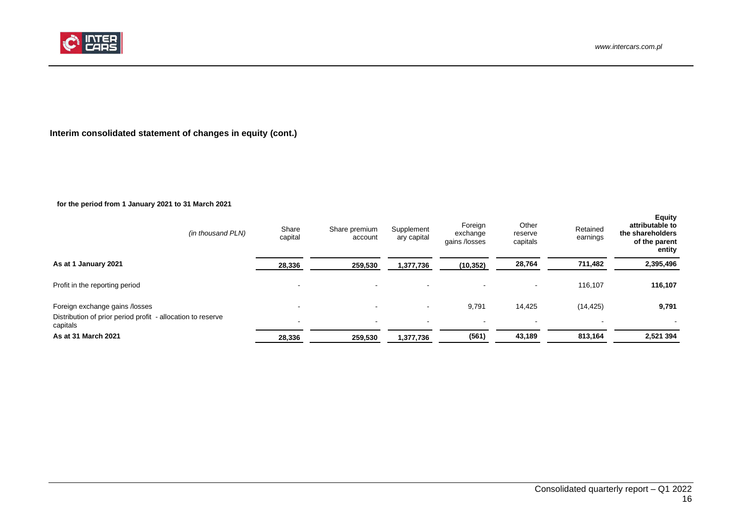

# **Interim consolidated statement of changes in equity (cont.)**

# **for the period from 1 January 2021 to 31 March 2021**

<span id="page-15-0"></span>

| (in thousand PLN)                                                                                         | Share<br>capital                   | Share premium<br>account | Supplement<br>ary capital | Foreign<br>exchange<br>gains /losses | Other<br>reserve<br>capitals       | Retained<br>earnings        | <b>Equity</b><br>attributable to<br>the shareholders<br>of the parent<br>entity |
|-----------------------------------------------------------------------------------------------------------|------------------------------------|--------------------------|---------------------------|--------------------------------------|------------------------------------|-----------------------------|---------------------------------------------------------------------------------|
| As at 1 January 2021                                                                                      | 28,336                             | 259,530                  | 1,377,736                 | (10, 352)                            | 28,764                             | 711,482                     | 2,395,496                                                                       |
| Profit in the reporting period                                                                            | -                                  | $\,$ $\,$                |                           | $\,$                                 | $\overline{\phantom{a}}$           | 116,107                     | 116,107                                                                         |
| Foreign exchange gains /losses<br>Distribution of prior period profit - allocation to reserve<br>capitals | $\sim$<br>$\overline{\phantom{a}}$ | $\,$ $\,$<br>$\sim$      |                           | 9,791<br>$\sim$                      | 14,425<br>$\overline{\phantom{a}}$ | (14, 425)<br>$\blacksquare$ | 9,791<br>$\overline{\phantom{a}}$                                               |
| As at 31 March 2021                                                                                       | 28,336                             | 259,530                  | 1,377,736                 | (561)                                | 43,189                             | 813,164                     | 2,521 394                                                                       |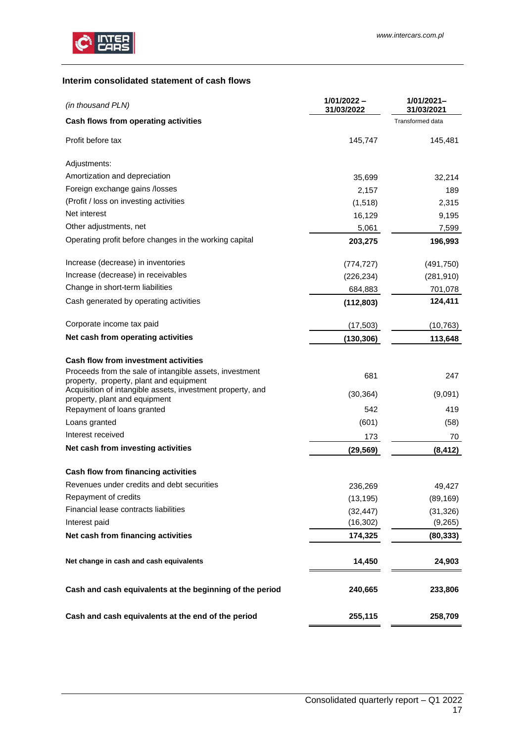

## <span id="page-16-0"></span>**Interim consolidated statement of cash flows**

| (in thousand PLN)                                                                                  | $1/01/2022 -$<br>31/03/2022 | 1/01/2021-<br>31/03/2021 |
|----------------------------------------------------------------------------------------------------|-----------------------------|--------------------------|
| Cash flows from operating activities                                                               |                             | Transformed data         |
| Profit before tax                                                                                  | 145,747                     | 145,481                  |
| Adjustments:                                                                                       |                             |                          |
| Amortization and depreciation                                                                      | 35,699                      | 32,214                   |
| Foreign exchange gains /losses                                                                     | 2,157                       | 189                      |
| (Profit / loss on investing activities                                                             | (1, 518)                    | 2,315                    |
| Net interest                                                                                       | 16,129                      | 9,195                    |
| Other adjustments, net                                                                             | 5,061                       | 7,599                    |
| Operating profit before changes in the working capital                                             | 203,275                     | 196,993                  |
| Increase (decrease) in inventories                                                                 | (774, 727)                  | (491,750)                |
| Increase (decrease) in receivables                                                                 | (226, 234)                  | (281, 910)               |
| Change in short-term liabilities                                                                   | 684,883                     | 701,078                  |
| Cash generated by operating activities                                                             | (112,803)                   | 124,411                  |
| Corporate income tax paid                                                                          | (17, 503)                   | (10, 763)                |
| Net cash from operating activities                                                                 | (130, 306)                  | 113,648                  |
| <b>Cash flow from investment activities</b>                                                        |                             |                          |
| Proceeds from the sale of intangible assets, investment<br>property, property, plant and equipment | 681                         | 247                      |
| Acquisition of intangible assets, investment property, and<br>property, plant and equipment        | (30, 364)                   | (9,091)                  |
| Repayment of loans granted                                                                         | 542                         | 419                      |
| Loans granted                                                                                      | (601)                       | (58)                     |
| Interest received                                                                                  | 173                         | 70                       |
| Net cash from investing activities                                                                 | (29, 569)                   | (8, 412)                 |
| Cash flow from financing activities                                                                |                             |                          |
| Revenues under credits and debt securities                                                         | 236,269                     | 49,427                   |
| Repayment of credits                                                                               | (13, 195)                   | (89, 169)                |
| Financial lease contracts liabilities                                                              | (32, 447)                   | (31, 326)                |
| Interest paid                                                                                      | (16, 302)                   | (9,265)                  |
| Net cash from financing activities                                                                 | 174,325                     | (80, 333)                |
| Net change in cash and cash equivalents                                                            | 14,450                      | 24,903                   |
| Cash and cash equivalents at the beginning of the period                                           | 240,665                     | 233,806                  |
| Cash and cash equivalents at the end of the period                                                 | 255,115                     | 258,709                  |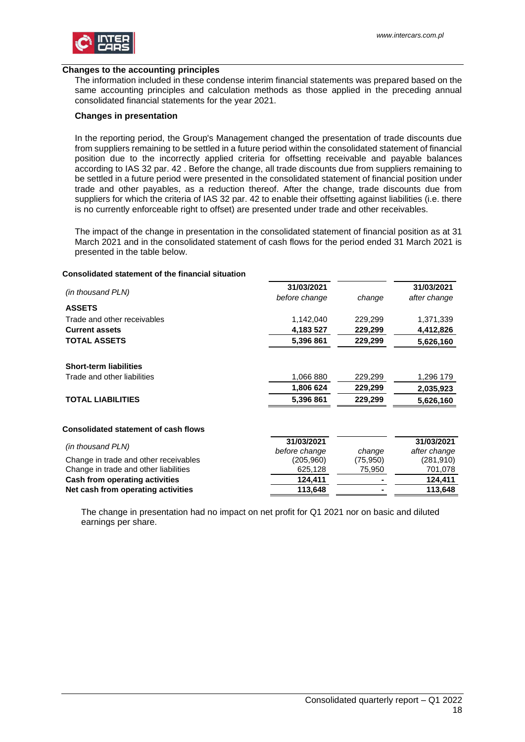

#### **Changes to the accounting principles**

The information included in these condense interim financial statements was prepared based on the same accounting principles and calculation methods as those applied in the preceding annual consolidated financial statements for the year 2021.

#### **Changes in presentation**

In the reporting period, the Group's Management changed the presentation of trade discounts due from suppliers remaining to be settled in a future period within the consolidated statement of financial position due to the incorrectly applied criteria for offsetting receivable and payable balances according to IAS 32 par. 42 . Before the change, all trade discounts due from suppliers remaining to be settled in a future period were presented in the consolidated statement of financial position under trade and other payables, as a reduction thereof. After the change, trade discounts due from suppliers for which the criteria of IAS 32 par. 42 to enable their offsetting against liabilities (i.e. there is no currently enforceable right to offset) are presented under trade and other receivables.

The impact of the change in presentation in the consolidated statement of financial position as at 31 March 2021 and in the consolidated statement of cash flows for the period ended 31 March 2021 is presented in the table below.

#### **Consolidated statement of the financial situation**

| (in thousand PLN)                           | 31/03/2021    |          | 31/03/2021   |
|---------------------------------------------|---------------|----------|--------------|
|                                             | before change | change   | after change |
| <b>ASSETS</b>                               |               |          |              |
| Trade and other receivables                 | 1,142,040     | 229,299  | 1,371,339    |
| <b>Current assets</b>                       | 4,183 527     | 229,299  | 4,412,826    |
| <b>TOTAL ASSETS</b>                         | 5,396 861     | 229,299  | 5,626,160    |
|                                             |               |          |              |
| <b>Short-term liabilities</b>               |               |          |              |
| Trade and other liabilities                 | 1,066 880     | 229,299  | 1,296 179    |
|                                             | 1,806 624     | 229,299  | 2,035,923    |
| <b>TOTAL LIABILITIES</b>                    | 5,396 861     | 229,299  | 5,626,160    |
| <b>Consolidated statement of cash flows</b> |               |          |              |
|                                             | 31/03/2021    |          | 31/03/2021   |
| (in thousand PLN)                           | before change | change   | after change |
| Change in trade and other receivables       | (205,960)     | (75,950) | (281, 910)   |
| Change in trade and other liabilities       | 625,128       | 75,950   | 701,078      |
| Cash from operating activities              | 124,411       |          | 124,411      |
| Net cash from operating activities          | 113,648       |          | 113,648      |

The change in presentation had no impact on net profit for Q1 2021 nor on basic and diluted earnings per share.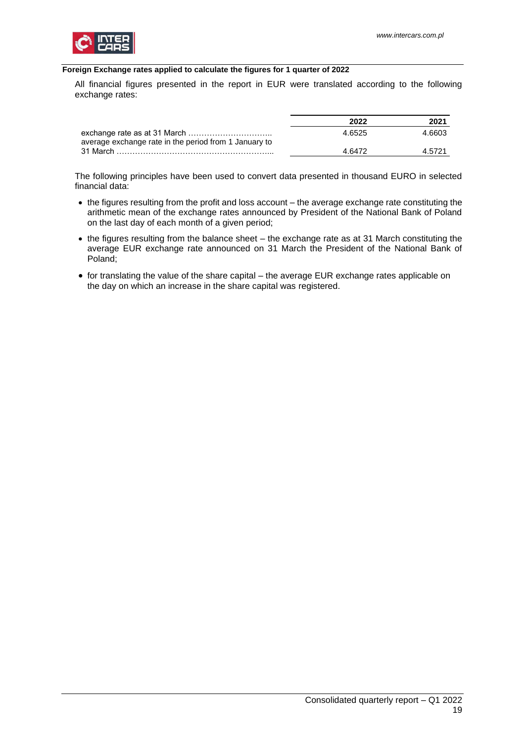

### <span id="page-18-0"></span>**Foreign Exchange rates applied to calculate the figures for 1 quarter of 2022**

All financial figures presented in the report in EUR were translated according to the following exchange rates:

|                                                       | 2022   | 2021   |
|-------------------------------------------------------|--------|--------|
| average exchange rate in the period from 1 January to | 4.6525 | 4.6603 |
|                                                       | 4 6472 | A 5721 |

The following principles have been used to convert data presented in thousand EURO in selected financial data:

- the figures resulting from the profit and loss account the average exchange rate constituting the arithmetic mean of the exchange rates announced by President of the National Bank of Poland on the last day of each month of a given period;
- the figures resulting from the balance sheet the exchange rate as at 31 March constituting the average EUR exchange rate announced on 31 March the President of the National Bank of Poland;
- for translating the value of the share capital the average EUR exchange rates applicable on the day on which an increase in the share capital was registered.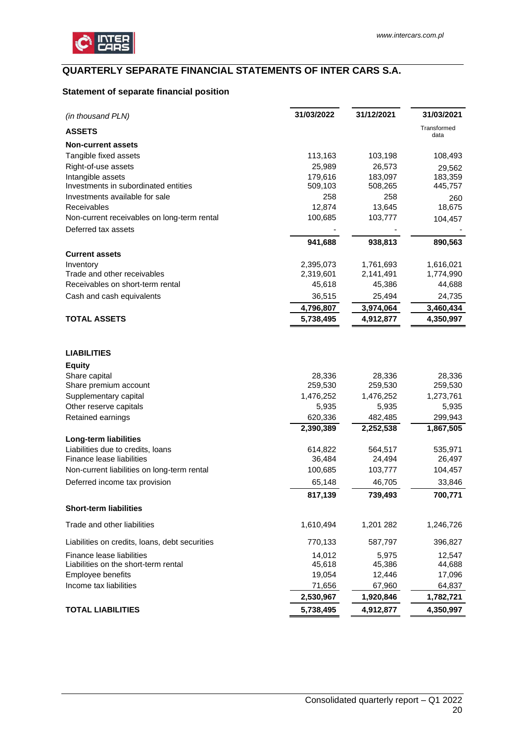

# <span id="page-19-0"></span>**QUARTERLY SEPARATE FINANCIAL STATEMENTS OF INTER CARS S.A.**

# <span id="page-19-1"></span>**Statement of separate financial position**

| (in thousand PLN)                              | 31/03/2022 | 31/12/2021 | 31/03/2021          |
|------------------------------------------------|------------|------------|---------------------|
| <b>ASSETS</b>                                  |            |            | Transformed<br>data |
| <b>Non-current assets</b>                      |            |            |                     |
| Tangible fixed assets                          | 113,163    | 103,198    | 108,493             |
| Right-of-use assets                            | 25,989     | 26,573     | 29,562              |
| Intangible assets                              | 179,616    | 183,097    | 183,359             |
| Investments in subordinated entities           | 509,103    | 508,265    | 445,757             |
| Investments available for sale                 | 258        | 258        | 260                 |
| Receivables                                    | 12,874     | 13,645     | 18,675              |
| Non-current receivables on long-term rental    | 100,685    | 103,777    | 104,457             |
| Deferred tax assets                            |            |            |                     |
|                                                | 941,688    | 938,813    | 890,563             |
| <b>Current assets</b>                          |            |            |                     |
| Inventory                                      | 2,395,073  | 1,761,693  | 1,616,021           |
| Trade and other receivables                    | 2,319,601  | 2,141,491  | 1,774,990           |
| Receivables on short-term rental               | 45,618     | 45,386     | 44,688              |
| Cash and cash equivalents                      | 36,515     | 25,494     | 24,735              |
|                                                | 4,796,807  | 3,974,064  | 3,460,434           |
| <b>TOTAL ASSETS</b>                            | 5,738,495  | 4,912,877  | 4,350,997           |
| <b>LIABILITIES</b>                             |            |            |                     |
| <b>Equity</b>                                  |            |            |                     |
| Share capital                                  | 28,336     | 28,336     | 28,336              |
| Share premium account                          | 259,530    | 259,530    | 259,530             |
| Supplementary capital                          | 1,476,252  | 1,476,252  | 1,273,761           |
| Other reserve capitals                         | 5,935      | 5,935      | 5,935               |
| Retained earnings                              | 620,336    | 482,485    | 299,943             |
|                                                | 2,390,389  | 2,252,538  | 1,867,505           |
| Long-term liabilities                          |            |            |                     |
| Liabilities due to credits, loans              | 614,822    | 564,517    | 535,971             |
| Finance lease liabilities                      | 36,484     | 24,494     | 26,497              |
| Non-current liabilities on long-term rental    | 100,685    | 103,777    | 104,457             |
| Deferred income tax provision                  | 65,148     | 46,705     | 33,846              |
|                                                | 817,139    | 739,493    | 700,771             |
| <b>Short-term liabilities</b>                  |            |            |                     |
| Trade and other liabilities                    | 1,610,494  | 1,201 282  | 1,246,726           |
| Liabilities on credits, loans, debt securities | 770,133    | 587,797    | 396,827             |
| Finance lease liabilities                      | 14,012     | 5,975      | 12,547              |
| Liabilities on the short-term rental           | 45,618     | 45,386     | 44,688              |
| Employee benefits                              | 19,054     | 12,446     | 17,096              |
| Income tax liabilities                         | 71,656     | 67,960     | 64,837              |
|                                                | 2,530,967  | 1,920,846  | 1,782,721           |
| <b>TOTAL LIABILITIES</b>                       | 5,738,495  | 4,912,877  | 4,350,997           |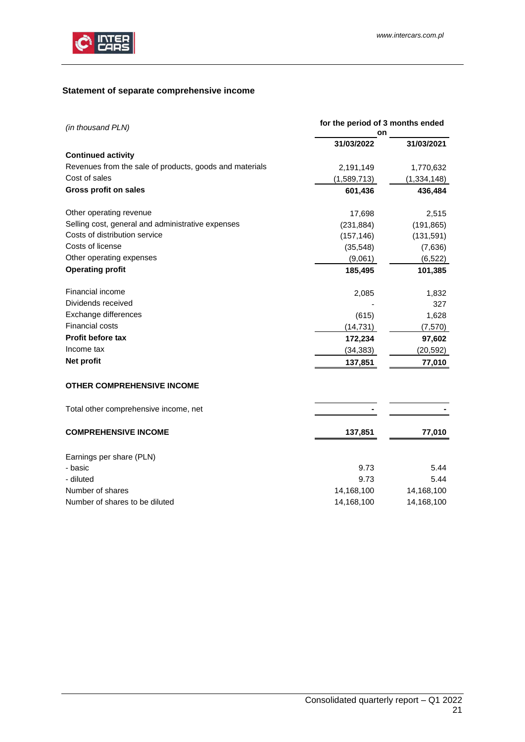

# <span id="page-20-0"></span>**Statement of separate comprehensive income**

| (in thousand PLN)                                       | for the period of 3 months ended<br>on |               |  |
|---------------------------------------------------------|----------------------------------------|---------------|--|
|                                                         | 31/03/2022                             | 31/03/2021    |  |
| <b>Continued activity</b>                               |                                        |               |  |
| Revenues from the sale of products, goods and materials | 2,191,149                              | 1,770,632     |  |
| Cost of sales                                           | (1,589,713)                            | (1, 334, 148) |  |
| <b>Gross profit on sales</b>                            | 601,436                                | 436,484       |  |
| Other operating revenue                                 | 17,698                                 | 2,515         |  |
| Selling cost, general and administrative expenses       | (231, 884)                             | (191, 865)    |  |
| Costs of distribution service                           | (157, 146)                             | (131, 591)    |  |
| Costs of license                                        | (35, 548)                              | (7,636)       |  |
| Other operating expenses                                | (9,061)                                | (6, 522)      |  |
| <b>Operating profit</b>                                 | 185,495                                | 101,385       |  |
| Financial income                                        | 2,085                                  | 1,832         |  |
| Dividends received                                      |                                        | 327           |  |
| Exchange differences                                    | (615)                                  | 1,628         |  |
| <b>Financial costs</b>                                  | (14, 731)                              | (7,570)       |  |
| Profit before tax                                       | 172,234                                | 97,602        |  |
| Income tax                                              | (34, 383)                              | (20, 592)     |  |
| Net profit                                              | 137,851                                | 77,010        |  |
| <b>OTHER COMPREHENSIVE INCOME</b>                       |                                        |               |  |
| Total other comprehensive income, net                   |                                        |               |  |
| <b>COMPREHENSIVE INCOME</b>                             | 137,851                                | 77,010        |  |
| Earnings per share (PLN)                                |                                        |               |  |
| - basic                                                 | 9.73                                   | 5.44          |  |
| - diluted                                               | 9.73                                   | 5.44          |  |
| Number of shares                                        | 14,168,100                             | 14,168,100    |  |
| Number of shares to be diluted                          | 14,168,100                             | 14,168,100    |  |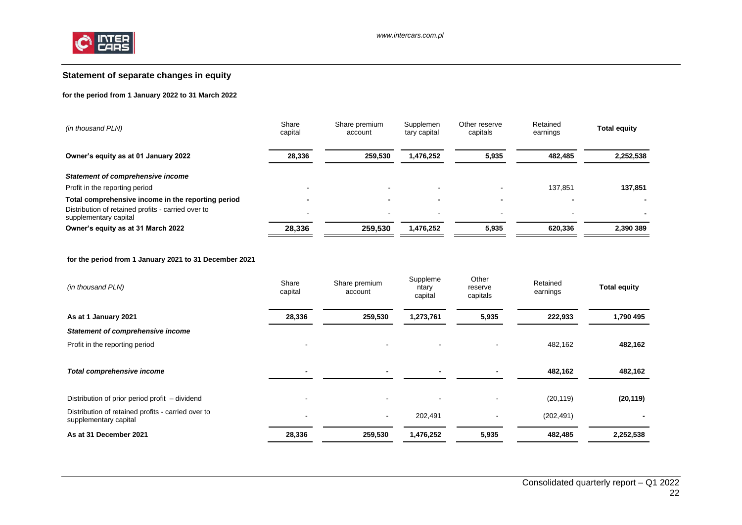

## **Statement of separate changes in equity**

#### **for the period from 1 January 2022 to 31 March 2022**

| (in thousand PLN)                                                           | Share<br>capital | Share premium<br>account | Supplemen<br>tary capital | Other reserve<br>capitals | Retained<br>earnings | <b>Total equity</b> |
|-----------------------------------------------------------------------------|------------------|--------------------------|---------------------------|---------------------------|----------------------|---------------------|
| Owner's equity as at 01 January 2022                                        | 28,336           | 259.530                  | 1,476,252                 | 5,935                     | 482.485              | 2,252,538           |
| Statement of comprehensive income                                           |                  |                          |                           |                           |                      |                     |
| Profit in the reporting period                                              |                  | -                        |                           |                           | 137.851              | 137,851             |
| Total comprehensive income in the reporting period                          |                  | -                        |                           |                           |                      |                     |
| Distribution of retained profits - carried over to<br>supplementary capital |                  |                          | $\overline{\phantom{0}}$  |                           |                      |                     |
| Owner's equity as at 31 March 2022                                          | 28,336           | 259.530                  | 1.476.252                 | 5,935                     | 620.336              | 2.390 389           |

#### **for the period from 1 January 2021 to 31 December 2021**

<span id="page-21-0"></span>

| (in thousand PLN)                                                           | Share<br>capital         | Share premium<br>account | Suppleme<br>ntary<br>capital | Other<br>reserve<br>capitals | Retained<br>earnings | <b>Total equity</b> |
|-----------------------------------------------------------------------------|--------------------------|--------------------------|------------------------------|------------------------------|----------------------|---------------------|
| As at 1 January 2021                                                        | 28,336                   | 259,530                  | 1,273,761                    | 5,935                        | 222,933              | 1,790 495           |
| <b>Statement of comprehensive income</b>                                    |                          |                          |                              |                              |                      |                     |
| Profit in the reporting period                                              | $\overline{\phantom{a}}$ |                          |                              |                              | 482,162              | 482,162             |
|                                                                             |                          |                          |                              |                              |                      |                     |
| Total comprehensive income                                                  |                          |                          |                              |                              | 482,162              | 482,162             |
|                                                                             |                          |                          |                              |                              |                      |                     |
| Distribution of prior period profit – dividend                              | $\overline{\phantom{a}}$ |                          |                              |                              | (20, 119)            | (20, 119)           |
| Distribution of retained profits - carried over to<br>supplementary capital | $\overline{\phantom{a}}$ |                          | 202,491                      |                              | (202, 491)           |                     |
| As at 31 December 2021                                                      | 28,336                   | 259,530                  | 1,476,252                    | 5,935                        | 482,485              | 2,252,538           |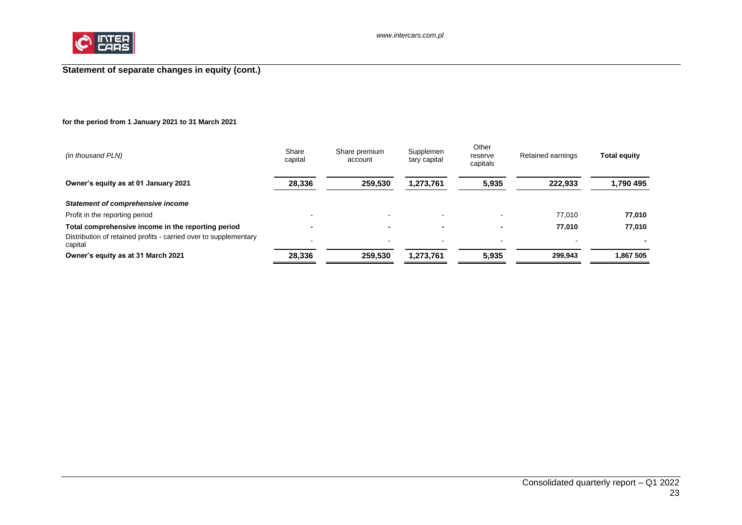

# **Statement of separate changes in equity (cont.)**

### **for the period from 1 January 2021 to 31 March 2021**

<span id="page-22-0"></span>

| Share<br>capital | Share premium<br>account | Supplemen<br>tary capital | Other<br>reserve<br>capitals | Retained earnings        | <b>Total equity</b> |
|------------------|--------------------------|---------------------------|------------------------------|--------------------------|---------------------|
| 28,336           | 259.530                  | 1,273,761                 | 5,935                        | 222.933                  | 1,790 495           |
|                  |                          |                           |                              |                          |                     |
|                  |                          |                           |                              | 77.010                   | 77.010              |
|                  | -                        | $\blacksquare$            | $\blacksquare$               | 77.010                   | 77,010              |
|                  |                          | $\overline{\phantom{0}}$  | . .                          | $\overline{\phantom{0}}$ |                     |
| 28,336           | 259.530                  | 1,273,761                 | 5,935                        | 299.943                  | 1.867 505           |
|                  |                          |                           |                              |                          |                     |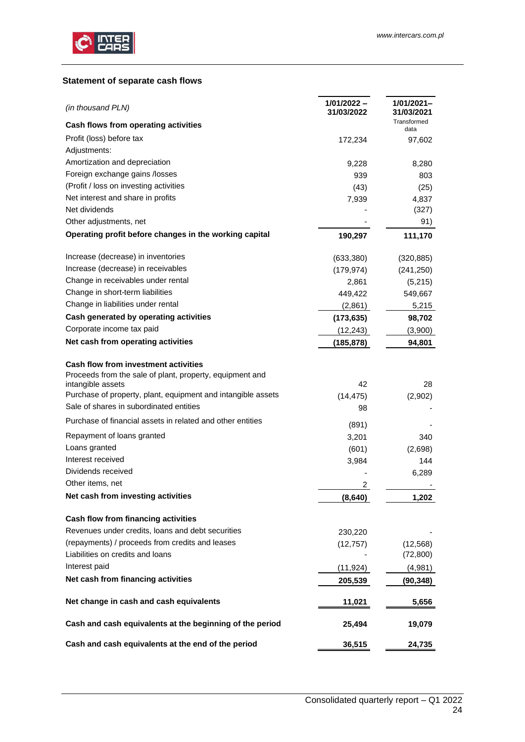

## <span id="page-23-0"></span>**Statement of separate cash flows**

| (in thousand PLN)                                                                                       | $1/01/2022 -$<br>31/03/2022 | 1/01/2021–<br>31/03/2021 |
|---------------------------------------------------------------------------------------------------------|-----------------------------|--------------------------|
| Cash flows from operating activities                                                                    |                             | Transformed<br>data      |
| Profit (loss) before tax                                                                                | 172,234                     | 97,602                   |
| Adjustments:                                                                                            |                             |                          |
| Amortization and depreciation                                                                           | 9,228                       | 8,280                    |
| Foreign exchange gains /losses                                                                          | 939                         | 803                      |
| (Profit / loss on investing activities                                                                  | (43)                        | (25)                     |
| Net interest and share in profits                                                                       | 7,939                       | 4,837                    |
| Net dividends                                                                                           |                             | (327)                    |
| Other adjustments, net                                                                                  |                             | 91)                      |
| Operating profit before changes in the working capital                                                  | 190,297                     | 111,170                  |
| Increase (decrease) in inventories                                                                      | (633, 380)                  | (320, 885)               |
| Increase (decrease) in receivables                                                                      | (179, 974)                  | (241, 250)               |
| Change in receivables under rental                                                                      | 2,861                       | (5,215)                  |
| Change in short-term liabilities                                                                        | 449,422                     | 549,667                  |
| Change in liabilities under rental                                                                      | (2,861)                     | 5,215                    |
| Cash generated by operating activities                                                                  | (173, 635)                  | 98,702                   |
| Corporate income tax paid                                                                               | (12, 243)                   | (3,900)                  |
| Net cash from operating activities                                                                      | (185,878)                   | 94,801                   |
| <b>Cash flow from investment activities</b><br>Proceeds from the sale of plant, property, equipment and |                             |                          |
| intangible assets                                                                                       | 42                          | 28                       |
| Purchase of property, plant, equipment and intangible assets                                            | (14, 475)                   | (2,902)                  |
| Sale of shares in subordinated entities                                                                 | 98                          |                          |
| Purchase of financial assets in related and other entities                                              | (891)                       |                          |
| Repayment of loans granted                                                                              | 3,201                       | 340                      |
| Loans granted                                                                                           | (601)                       | (2,698)                  |
| Interest received                                                                                       | 3,984                       | 144                      |
| Dividends received                                                                                      |                             | 6,289                    |
| Other items, net                                                                                        | 2                           |                          |
| Net cash from investing activities                                                                      | (8,640)                     | 1,202                    |
| Cash flow from financing activities                                                                     |                             |                          |
| Revenues under credits, loans and debt securities                                                       | 230,220                     |                          |
| (repayments) / proceeds from credits and leases                                                         | (12, 757)                   | (12, 568)                |
| Liabilities on credits and loans                                                                        |                             | (72, 800)                |
| Interest paid                                                                                           | (11, 924)                   | (4,981)                  |
| Net cash from financing activities                                                                      | 205,539                     | (90, 348)                |
| Net change in cash and cash equivalents                                                                 | 11,021                      | 5,656                    |
| Cash and cash equivalents at the beginning of the period                                                | 25,494                      | 19,079                   |
| Cash and cash equivalents at the end of the period                                                      | 36,515                      | 24,735                   |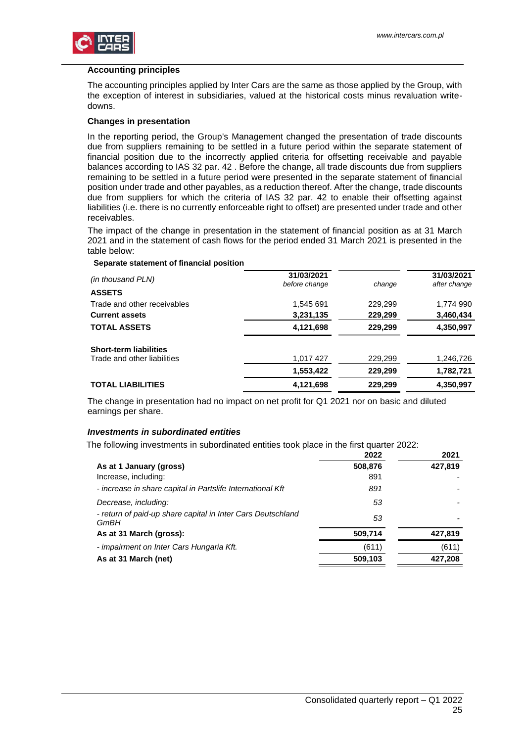

#### <span id="page-24-0"></span>**Accounting principles**

The accounting principles applied by Inter Cars are the same as those applied by the Group, with the exception of interest in subsidiaries, valued at the historical costs minus revaluation writedowns.

#### <span id="page-24-1"></span>**Changes in presentation**

In the reporting period, the Group's Management changed the presentation of trade discounts due from suppliers remaining to be settled in a future period within the separate statement of financial position due to the incorrectly applied criteria for offsetting receivable and payable balances according to IAS 32 par. 42 . Before the change, all trade discounts due from suppliers remaining to be settled in a future period were presented in the separate statement of financial position under trade and other payables, as a reduction thereof. After the change, trade discounts due from suppliers for which the criteria of IAS 32 par. 42 to enable their offsetting against liabilities (i.e. there is no currently enforceable right to offset) are presented under trade and other receivables.

The impact of the change in presentation in the statement of financial position as at 31 March 2021 and in the statement of cash flows for the period ended 31 March 2021 is presented in the table below:

#### **Separate statement of financial position**

| (in thousand PLN)<br><b>ASSETS</b> | 31/03/2021<br>before change | change  | 31/03/2021<br>after change |
|------------------------------------|-----------------------------|---------|----------------------------|
| Trade and other receivables        | 1,545 691                   | 229,299 | 1,774 990                  |
| <b>Current assets</b>              | 3,231,135                   | 229,299 | 3,460,434                  |
| <b>TOTAL ASSETS</b>                | 4,121,698                   | 229,299 | 4,350,997                  |
| <b>Short-term liabilities</b>      |                             |         |                            |
| Trade and other liabilities        | 1,017 427                   | 229,299 | 1,246,726                  |
|                                    | 1,553,422                   | 229,299 | 1,782,721                  |
| <b>TOTAL LIABILITIES</b>           | 4,121,698                   | 229,299 | 4,350,997                  |

The change in presentation had no impact on net profit for Q1 2021 nor on basic and diluted earnings per share.

#### <span id="page-24-2"></span>*Investments in subordinated entities*

The following investments in subordinated entities took place in the first quarter 2022:

|                                                                     | 2022    | 2021    |
|---------------------------------------------------------------------|---------|---------|
| As at 1 January (gross)                                             | 508,876 | 427,819 |
| Increase, including:                                                | 891     |         |
| - increase in share capital in Partslife International Kft          | 891     |         |
| Decrease, including:                                                | 53      |         |
| - return of paid-up share capital in Inter Cars Deutschland<br>GmBH | 53      |         |
| As at 31 March (gross):                                             | 509,714 | 427.819 |
| - impairment on Inter Cars Hungaria Kft.                            | (611)   | (611)   |
| As at 31 March (net)                                                | 509,103 | 427,208 |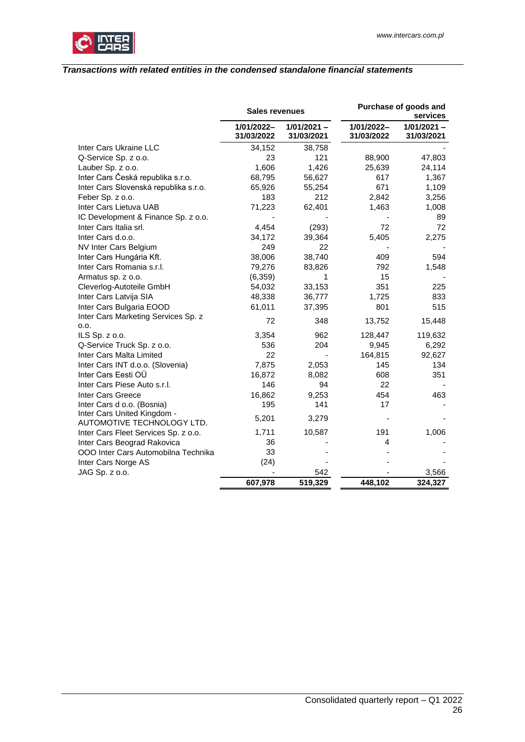

### <span id="page-25-0"></span>*Transactions with related entities in the condensed standalone financial statements*

|                                                           |                          | Purchase of goods and<br><b>Sales revenues</b> |                          | services                    |
|-----------------------------------------------------------|--------------------------|------------------------------------------------|--------------------------|-----------------------------|
|                                                           | 1/01/2022-<br>31/03/2022 | $1/01/2021 -$<br>31/03/2021                    | 1/01/2022-<br>31/03/2022 | $1/01/2021 -$<br>31/03/2021 |
| Inter Cars Ukraine LLC                                    | 34,152                   | 38,758                                         |                          |                             |
| Q-Service Sp. z o.o.                                      | 23                       | 121                                            | 88,900                   | 47,803                      |
| Lauber Sp. z o.o.                                         | 1,606                    | 1,426                                          | 25,639                   | 24,114                      |
| Inter Cars Česká republika s.r.o.                         | 68,795                   | 56,627                                         | 617                      | 1,367                       |
| Inter Cars Slovenská republika s.r.o.                     | 65,926                   | 55,254                                         | 671                      | 1,109                       |
| Feber Sp. z o.o.                                          | 183                      | 212                                            | 2,842                    | 3,256                       |
| Inter Cars Lietuva UAB                                    | 71,223                   | 62,401                                         | 1,463                    | 1,008                       |
| IC Development & Finance Sp. z o.o.                       |                          |                                                |                          | 89                          |
| Inter Cars Italia srl.                                    | 4,454                    | (293)                                          | 72                       | 72                          |
| Inter Cars d.o.o.                                         | 34,172                   | 39,364                                         | 5,405                    | 2,275                       |
| NV Inter Cars Belgium                                     | 249                      | 22                                             |                          |                             |
| Inter Cars Hungária Kft.                                  | 38,006                   | 38,740                                         | 409                      | 594                         |
| Inter Cars Romania s.r.l.                                 | 79,276                   | 83,826                                         | 792                      | 1,548                       |
| Armatus sp. z o.o.                                        | (6, 359)                 | 1                                              | 15                       |                             |
| Cleverlog-Autoteile GmbH                                  | 54,032                   | 33,153                                         | 351                      | 225                         |
| Inter Cars Latvija SIA                                    | 48,338                   | 36,777                                         | 1,725                    | 833                         |
| Inter Cars Bulgaria EOOD                                  | 61,011                   | 37,395                                         | 801                      | 515                         |
| Inter Cars Marketing Services Sp. z                       | 72                       | 348                                            | 13,752                   | 15,448                      |
| 0.0.                                                      |                          |                                                |                          |                             |
| ILS Sp. z o.o.                                            | 3,354                    | 962                                            | 128,447                  | 119,632                     |
| Q-Service Truck Sp. z o.o.                                | 536                      | 204                                            | 9,945                    | 6,292                       |
| Inter Cars Malta Limited                                  | 22                       |                                                | 164,815                  | 92,627                      |
| Inter Cars INT d.o.o. (Slovenia)                          | 7,875                    | 2,053                                          | 145                      | 134                         |
| Inter Cars Eesti OÜ                                       | 16,872                   | 8,082                                          | 608                      | 351                         |
| Inter Cars Piese Auto s.r.l.                              | 146                      | 94                                             | 22                       |                             |
| Inter Cars Greece                                         | 16,862                   | 9,253                                          | 454                      | 463                         |
| Inter Cars d o.o. (Bosnia)                                | 195                      | 141                                            | 17                       |                             |
| Inter Cars United Kingdom -<br>AUTOMOTIVE TECHNOLOGY LTD. | 5,201                    | 3,279                                          |                          |                             |
| Inter Cars Fleet Services Sp. z o.o.                      | 1,711                    | 10,587                                         | 191                      | 1,006                       |
| Inter Cars Beograd Rakovica                               | 36                       |                                                | 4                        |                             |
| OOO Inter Cars Automobilna Technika                       | 33                       |                                                |                          |                             |
| Inter Cars Norge AS                                       | (24)                     |                                                |                          |                             |
| JAG Sp. z o.o.                                            |                          | 542                                            |                          | 3,566                       |
|                                                           | 607,978                  | 519,329                                        | 448,102                  | 324,327                     |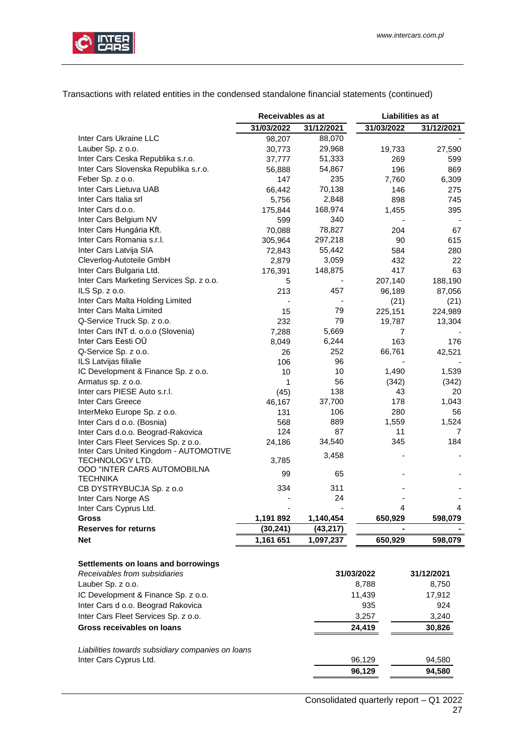

Transactions with related entities in the condensed standalone financial statements (continued)

|                                                                             | Receivables as at |            |            | Liabilities as at |  |
|-----------------------------------------------------------------------------|-------------------|------------|------------|-------------------|--|
|                                                                             | 31/03/2022        | 31/12/2021 | 31/03/2022 | 31/12/2021        |  |
| Inter Cars Ukraine LLC                                                      | 98,207            | 88,070     |            |                   |  |
| Lauber Sp. z o.o.                                                           | 30,773            | 29,968     | 19,733     | 27,590            |  |
| Inter Cars Ceska Republika s.r.o.                                           | 37,777            | 51,333     | 269        | 599               |  |
| Inter Cars Slovenska Republika s.r.o.                                       | 56,888            | 54,867     | 196        | 869               |  |
| Feber Sp. z o.o.                                                            | 147               | 235        | 7,760      | 6,309             |  |
| Inter Cars Lietuva UAB                                                      | 66,442            | 70,138     | 146        | 275               |  |
| Inter Cars Italia srl                                                       | 5,756             | 2,848      | 898        | 745               |  |
| Inter Cars d.o.o.                                                           | 175,844           | 168,974    | 1,455      | 395               |  |
| Inter Cars Belgium NV                                                       | 599               | 340        |            |                   |  |
| Inter Cars Hungária Kft.                                                    | 70,088            | 78,827     | 204        | 67                |  |
| Inter Cars Romania s.r.l.                                                   | 305,964           | 297,218    | 90         | 615               |  |
| Inter Cars Latvija SIA                                                      | 72,843            | 55,442     | 584        | 280               |  |
| Cleverlog-Autoteile GmbH                                                    | 2,879             | 3,059      | 432        | 22                |  |
| Inter Cars Bulgaria Ltd.                                                    | 176,391           | 148,875    | 417        | 63                |  |
| Inter Cars Marketing Services Sp. z o.o.                                    | 5                 |            | 207,140    | 188,190           |  |
| ILS Sp. z o.o.                                                              | 213               | 457        | 96,189     | 87,056            |  |
| Inter Cars Malta Holding Limited                                            |                   |            | (21)       | (21)              |  |
| Inter Cars Malta Limited                                                    | 15                | 79         | 225,151    | 224,989           |  |
| Q-Service Truck Sp. z o.o.                                                  | 232               | 79         | 19,787     | 13,304            |  |
| Inter Cars INT d. o.o.o (Slovenia)                                          | 7,288             | 5,669      | 7          |                   |  |
| Inter Cars Eesti OÜ                                                         | 8,049             | 6,244      | 163        | 176               |  |
| Q-Service Sp. z o.o.                                                        | 26                | 252        | 66,761     | 42,521            |  |
| ILS Latvijas filialie                                                       | 106               | 96         |            |                   |  |
| IC Development & Finance Sp. z o.o.                                         | 10                | 10         | 1,490      | 1,539             |  |
| Armatus sp. z o.o.                                                          | 1                 | 56         | (342)      | (342)             |  |
| Inter cars PIESE Auto s.r.l.                                                | (45)              | 138        | 43         | 20                |  |
| Inter Cars Greece                                                           | 46,167            | 37,700     | 178        | 1,043             |  |
| InterMeko Europe Sp. z o.o.                                                 | 131               | 106        | 280        | 56                |  |
| Inter Cars d o.o. (Bosnia)                                                  | 568               | 889        | 1,559      | 1,524             |  |
| Inter Cars d.o.o. Beograd-Rakovica                                          | 124               | 87         | 11         | $\overline{7}$    |  |
| Inter Cars Fleet Services Sp. z o.o.                                        | 24,186            | 34,540     | 345        | 184               |  |
| Inter Cars United Kingdom - AUTOMOTIVE                                      |                   |            |            |                   |  |
| TECHNOLOGY LTD.                                                             | 3,785             | 3,458      |            |                   |  |
| OOO "INTER CARS AUTOMOBILNA                                                 |                   |            |            |                   |  |
| <b>TECHNIKA</b>                                                             | 99                | 65         |            |                   |  |
| CB DYSTRYBUCJA Sp. z o.o                                                    | 334               | 311        |            |                   |  |
| Inter Cars Norge AS                                                         |                   | 24         |            |                   |  |
| Inter Cars Cyprus Ltd.                                                      |                   |            | 4          | 4                 |  |
| Gross                                                                       | 1,191 892         | 1,140,454  | 650,929    | 598,079           |  |
| <b>Reserves for returns</b>                                                 | (30,241)          | (43,217)   |            |                   |  |
| <b>Net</b>                                                                  | 1,161 651         | 1,097,237  | 650,929    | 598,079           |  |
|                                                                             |                   |            |            |                   |  |
| Settlements on loans and borrowings                                         |                   |            |            |                   |  |
| Receivables from subsidiaries                                               |                   |            | 31/03/2022 | 31/12/2021        |  |
| Lauber Sp. z o.o.                                                           |                   |            | 8,788      | 8,750             |  |
| IC Development & Finance Sp. z o.o.                                         |                   |            | 11,439     | 17,912            |  |
| Inter Cars d o.o. Beograd Rakovica                                          |                   |            | 935        | 924               |  |
| Inter Cars Fleet Services Sp. z o.o.                                        |                   |            |            |                   |  |
|                                                                             |                   |            | 3,257      | 3,240             |  |
| Gross receivables on loans                                                  |                   |            | 24,419     | 30,826            |  |
|                                                                             |                   |            |            |                   |  |
| Liabilities towards subsidiary companies on loans<br>Inter Cars Cyprus Ltd. |                   |            | 96,129     | 94,580            |  |
|                                                                             |                   |            | 96,129     | 94,580            |  |
|                                                                             |                   |            |            |                   |  |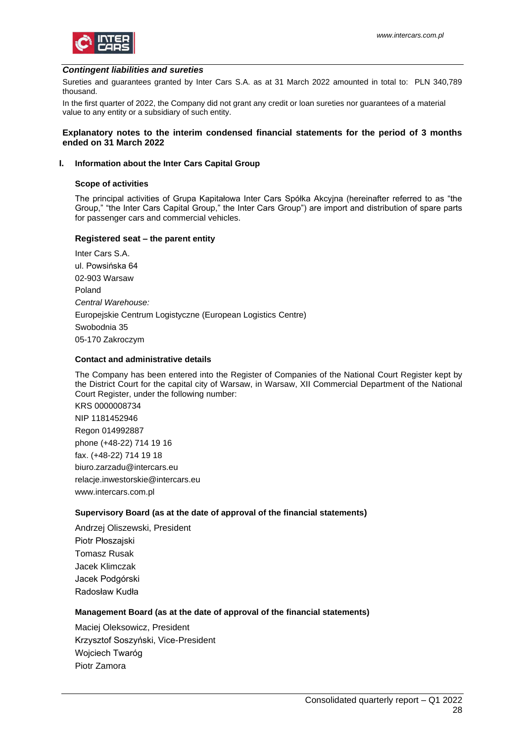

#### <span id="page-27-0"></span>*Contingent liabilities and sureties*

Sureties and guarantees granted by Inter Cars S.A. as at 31 March 2022 amounted in total to: PLN 340,789 thousand.

In the first quarter of 2022, the Company did not grant any credit or loan sureties nor guarantees of a material value to any entity or a subsidiary of such entity.

#### <span id="page-27-1"></span>**Explanatory notes to the interim condensed financial statements for the period of 3 months ended on 31 March 2022**

#### <span id="page-27-2"></span>**I. Information about the Inter Cars Capital Group**

#### **Scope of activities**

The principal activities of Grupa Kapitałowa Inter Cars Spółka Akcyjna (hereinafter referred to as "the Group," "the Inter Cars Capital Group," the Inter Cars Group") are import and distribution of spare parts for passenger cars and commercial vehicles.

#### **Registered seat – the parent entity**

Inter Cars S.A. ul. Powsińska 64 02-903 Warsaw Poland *Central Warehouse:* Europejskie Centrum Logistyczne (European Logistics Centre) Swobodnia 35 05-170 Zakroczym

### **Contact and administrative details**

The Company has been entered into the Register of Companies of the National Court Register kept by the District Court for the capital city of Warsaw, in Warsaw, XII Commercial Department of the National Court Register, under the following number:

KRS 0000008734 NIP 1181452946 Regon 014992887 phone (+48-22) 714 19 16 fax. (+48-22) 714 19 18 biuro.zarzadu@intercars.eu relacje.inwestorskie@intercars.eu www.intercars.com.pl

#### **Supervisory Board (as at the date of approval of the financial statements)**

Andrzej Oliszewski, President Piotr Płoszajski Tomasz Rusak Jacek Klimczak Jacek Podgórski Radosław Kudła

#### **Management Board (as at the date of approval of the financial statements)**

Maciej Oleksowicz, President Krzysztof Soszyński, Vice-President Wojciech Twaróg Piotr Zamora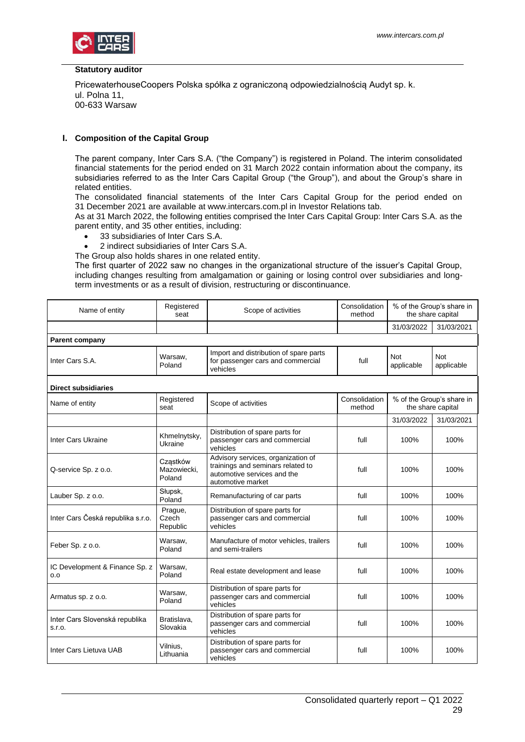

#### **Statutory auditor**

PricewaterhouseCoopers Polska spółka z ograniczoną odpowiedzialnością Audyt sp. k. ul. Polna 11, 00-633 Warsaw

#### <span id="page-28-0"></span>**I. Composition of the Capital Group**

The parent company, Inter Cars S.A. ("the Company") is registered in Poland. The interim consolidated financial statements for the period ended on 31 March 2022 contain information about the company, its subsidiaries referred to as the Inter Cars Capital Group ("the Group"), and about the Group's share in related entities.

The consolidated financial statements of the Inter Cars Capital Group for the period ended on 31 December 2021 are available at www.intercars.com.pl in Investor Relations tab.

As at 31 March 2022, the following entities comprised the Inter Cars Capital Group: Inter Cars S.A. as the parent entity, and 35 other entities, including:

- 33 subsidiaries of Inter Cars S.A.
- 2 indirect subsidiaries of Inter Cars S.A.
- The Group also holds shares in one related entity.

The first quarter of 2022 saw no changes in the organizational structure of the issuer's Capital Group, including changes resulting from amalgamation or gaining or losing control over subsidiaries and longterm investments or as a result of division, restructuring or discontinuance.

| Name of entity                           | Registered<br>seat                | Scope of activities                                                                                                         | Consolidation<br>method | % of the Group's share in<br>the share capital |                                                |
|------------------------------------------|-----------------------------------|-----------------------------------------------------------------------------------------------------------------------------|-------------------------|------------------------------------------------|------------------------------------------------|
|                                          |                                   |                                                                                                                             |                         | 31/03/2022                                     | 31/03/2021                                     |
| Parent company                           |                                   |                                                                                                                             |                         |                                                |                                                |
| Inter Cars S.A.                          | Warsaw.<br>Poland                 | Import and distribution of spare parts<br>for passenger cars and commercial<br>vehicles                                     | full                    | <b>Not</b><br>applicable                       | <b>Not</b><br>applicable                       |
| <b>Direct subsidiaries</b>               |                                   |                                                                                                                             |                         |                                                |                                                |
| Name of entity                           | Registered<br>seat                | Scope of activities                                                                                                         | Consolidation<br>method |                                                | % of the Group's share in<br>the share capital |
|                                          |                                   |                                                                                                                             |                         | 31/03/2022                                     | 31/03/2021                                     |
| <b>Inter Cars Ukraine</b>                | Khmelnytsky,<br>Ukraine           | Distribution of spare parts for<br>passenger cars and commercial<br>vehicles                                                | full                    | 100%                                           | 100%                                           |
| Q-service Sp. z o.o.                     | Cząstków<br>Mazowiecki,<br>Poland | Advisory services, organization of<br>trainings and seminars related to<br>automotive services and the<br>automotive market | full                    | 100%                                           | 100%                                           |
| Lauber Sp. z o.o.                        | Słupsk,<br>Poland                 | Remanufacturing of car parts                                                                                                | full                    | 100%                                           | 100%                                           |
| Inter Cars Česká republika s.r.o.        | Prague,<br>Czech<br>Republic      | Distribution of spare parts for<br>passenger cars and commercial<br>vehicles                                                | full                    | 100%                                           | 100%                                           |
| Feber Sp. z o.o.                         | Warsaw,<br>Poland                 | Manufacture of motor vehicles, trailers<br>and semi-trailers                                                                | full                    | 100%                                           | 100%                                           |
| IC Development & Finance Sp. z<br>0.0    | Warsaw,<br>Poland                 | Real estate development and lease                                                                                           | full                    | 100%                                           | 100%                                           |
| Armatus sp. z o.o.                       | Warsaw,<br>Poland                 | Distribution of spare parts for<br>passenger cars and commercial<br>vehicles                                                | full                    | 100%                                           | 100%                                           |
| Inter Cars Slovenská republika<br>S.r.o. | Bratislava,<br>Slovakia           | Distribution of spare parts for<br>passenger cars and commercial<br>vehicles                                                | full                    | 100%                                           | 100%                                           |
| Inter Cars Lietuva UAB                   | Vilnius,<br>Lithuania             | Distribution of spare parts for<br>passenger cars and commercial<br>vehicles                                                | full                    | 100%                                           | 100%                                           |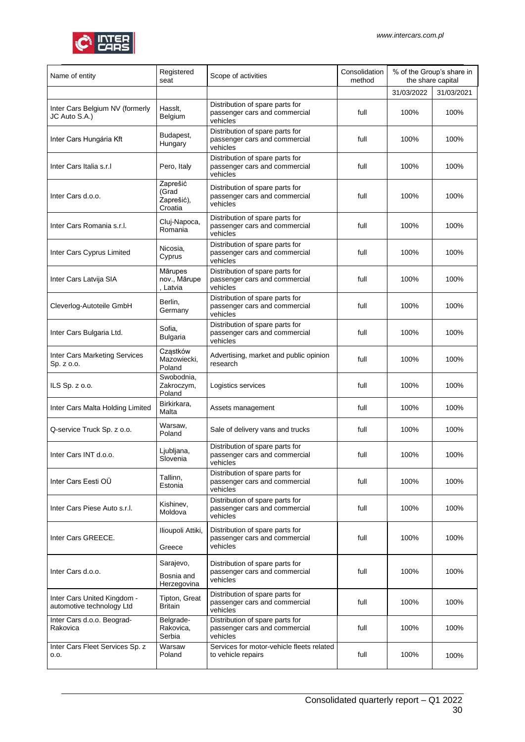

| Name of entity                                           | Registered<br>seat                         | Scope of activities                                                          | Consolidation<br>method | % of the Group's share in<br>the share capital |            |
|----------------------------------------------------------|--------------------------------------------|------------------------------------------------------------------------------|-------------------------|------------------------------------------------|------------|
|                                                          |                                            |                                                                              |                         | 31/03/2022                                     | 31/03/2021 |
| Inter Cars Belgium NV (formerly<br>JC Auto S.A.)         | Hasslt,<br>Belgium                         | Distribution of spare parts for<br>passenger cars and commercial<br>vehicles | full                    | 100%                                           | 100%       |
| Inter Cars Hungária Kft                                  | Budapest,<br>Hungary                       | Distribution of spare parts for<br>passenger cars and commercial<br>vehicles | full                    | 100%                                           | 100%       |
| Inter Cars Italia s.r.I                                  | Pero, Italy                                | Distribution of spare parts for<br>passenger cars and commercial<br>vehicles | full                    | 100%                                           | 100%       |
| Inter Cars d.o.o.                                        | Zaprešić<br>(Grad<br>Zaprešić),<br>Croatia | Distribution of spare parts for<br>passenger cars and commercial<br>vehicles | full                    | 100%                                           | 100%       |
| Inter Cars Romania s.r.l.                                | Cluj-Napoca,<br>Romania                    | Distribution of spare parts for<br>passenger cars and commercial<br>vehicles | full                    | 100%                                           | 100%       |
| Inter Cars Cyprus Limited                                | Nicosia.<br>Cyprus                         | Distribution of spare parts for<br>passenger cars and commercial<br>vehicles | full                    | 100%                                           | 100%       |
| Inter Cars Latvija SIA                                   | Mārupes<br>nov., Mārupe<br>Latvia          | Distribution of spare parts for<br>passenger cars and commercial<br>vehicles | full                    | 100%                                           | 100%       |
| Cleverlog-Autoteile GmbH                                 | Berlin,<br>Germany                         | Distribution of spare parts for<br>passenger cars and commercial<br>vehicles | full                    | 100%                                           | 100%       |
| Inter Cars Bulgaria Ltd.                                 | Sofia,<br><b>Bulgaria</b>                  | Distribution of spare parts for<br>passenger cars and commercial<br>vehicles | full                    | 100%                                           | 100%       |
| Inter Cars Marketing Services<br>Sp. z o.o.              | Cząstków<br>Mazowiecki,<br>Poland          | Advertising, market and public opinion<br>research                           | full                    | 100%                                           | 100%       |
| ILS Sp. z o.o.                                           | Swobodnia,<br>Zakroczym,<br>Poland         | Logistics services                                                           | full                    | 100%                                           | 100%       |
| Inter Cars Malta Holding Limited                         | Birkirkara,<br>Malta                       | Assets management                                                            | full                    | 100%                                           | 100%       |
| Q-service Truck Sp. z o.o.                               | Warsaw,<br>Poland                          | Sale of delivery vans and trucks                                             | full                    | 100%                                           | 100%       |
| Inter Cars INT d.o.o.                                    | Ljubljana,<br>Slovenia                     | Distribution of spare parts for<br>passenger cars and commercial<br>vehicles | full                    | 100%                                           | 100%       |
| Inter Cars Eesti OÜ                                      | Tallinn,<br>Estonia                        | Distribution of spare parts for<br>passenger cars and commercial<br>vehicles | full                    | 100%                                           | 100%       |
| Inter Cars Piese Auto s.r.l.                             | Kishinev,<br>Moldova                       | Distribution of spare parts for<br>passenger cars and commercial<br>vehicles | full                    | 100%                                           | 100%       |
| Inter Cars GREECE.                                       | Ilioupoli Attiki,<br>Greece                | Distribution of spare parts for<br>passenger cars and commercial<br>vehicles | full                    | 100%                                           | 100%       |
| Inter Cars d.o.o.                                        | Sarajevo,<br>Bosnia and<br>Herzegovina     | Distribution of spare parts for<br>passenger cars and commercial<br>vehicles | full                    | 100%                                           | 100%       |
| Inter Cars United Kingdom -<br>automotive technology Ltd | Tipton, Great<br>Britain                   | Distribution of spare parts for<br>passenger cars and commercial<br>vehicles | full                    | 100%                                           | 100%       |
| Inter Cars d.o.o. Beograd-<br>Rakovica                   | Belgrade-<br>Rakovica,<br>Serbia           | Distribution of spare parts for<br>passenger cars and commercial<br>vehicles | full                    | 100%                                           | 100%       |
| Inter Cars Fleet Services Sp. z<br>0.0.                  | Warsaw<br>Poland                           | Services for motor-vehicle fleets related<br>to vehicle repairs              | full                    | 100%                                           | 100%       |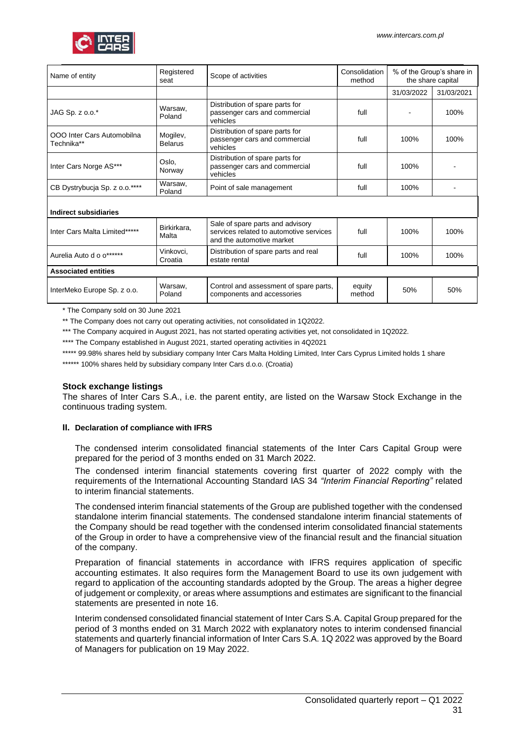

| Name of entity                           | Registered<br>seat         | Scope of activities                                                                                      | Consolidation<br>method | % of the Group's share in<br>the share capital |            |  |
|------------------------------------------|----------------------------|----------------------------------------------------------------------------------------------------------|-------------------------|------------------------------------------------|------------|--|
|                                          |                            |                                                                                                          |                         | 31/03/2022                                     | 31/03/2021 |  |
| JAG Sp. z o.o.*                          | Warsaw.<br>Poland          | Distribution of spare parts for<br>passenger cars and commercial<br>vehicles                             | full                    |                                                | 100%       |  |
| OOO Inter Cars Automobilna<br>Technika** | Mogilev,<br><b>Belarus</b> | Distribution of spare parts for<br>passenger cars and commercial<br>vehicles                             | full                    | 100%                                           | 100%       |  |
| Inter Cars Norge AS***                   | Oslo,<br>Norway            | Distribution of spare parts for<br>passenger cars and commercial<br>vehicles                             | full                    | 100%                                           |            |  |
| CB Dystrybucja Sp. z o.o.****            | Warsaw,<br>Poland          | Point of sale management                                                                                 | full                    | 100%                                           |            |  |
| Indirect subsidiaries                    |                            |                                                                                                          |                         |                                                |            |  |
| Inter Cars Malta Limited*****            | Birkirkara,<br>Malta       | Sale of spare parts and advisory<br>services related to automotive services<br>and the automotive market | full                    | 100%                                           | 100%       |  |
| Aurelia Auto d o o******                 | Vinkovci,<br>Croatia       | Distribution of spare parts and real<br>estate rental                                                    | full                    | 100%                                           | 100%       |  |
| <b>Associated entities</b>               |                            |                                                                                                          |                         |                                                |            |  |
| InterMeko Europe Sp. z o.o.              | Warsaw.<br>Poland          | Control and assessment of spare parts,<br>components and accessories                                     | equity<br>method        | 50%                                            | 50%        |  |

\* The Company sold on 30 June 2021

\*\* The Company does not carry out operating activities, not consolidated in 1Q2022.

\*\*\* The Company acquired in August 2021, has not started operating activities yet, not consolidated in 1Q2022.

\*\*\*\* The Company established in August 2021, started operating activities in 4Q2021

\*\*\*\*\* 99.98% shares held by subsidiary company Inter Cars Malta Holding Limited, Inter Cars Cyprus Limited holds 1 share

\*\*\*\*\*\* 100% shares held by subsidiary company Inter Cars d.o.o. (Croatia)

#### **Stock exchange listings**

The shares of Inter Cars S.A., i.e. the parent entity, are listed on the Warsaw Stock Exchange in the continuous trading system.

#### <span id="page-30-0"></span>**II. Declaration of compliance with IFRS**

The condensed interim consolidated financial statements of the Inter Cars Capital Group were prepared for the period of 3 months ended on 31 March 2022.

The condensed interim financial statements covering first quarter of 2022 comply with the requirements of the International Accounting Standard IAS 34 *"Interim Financial Reporting"* related to interim financial statements.

The condensed interim financial statements of the Group are published together with the condensed standalone interim financial statements. The condensed standalone interim financial statements of the Company should be read together with the condensed interim consolidated financial statements of the Group in order to have a comprehensive view of the financial result and the financial situation of the company.

Preparation of financial statements in accordance with IFRS requires application of specific accounting estimates. It also requires form the Management Board to use its own judgement with regard to application of the accounting standards adopted by the Group. The areas a higher degree of judgement or complexity, or areas where assumptions and estimates are significant to the financial statements are presented in note 16.

Interim condensed consolidated financial statement of Inter Cars S.A. Capital Group prepared for the period of 3 months ended on 31 March 2022 with explanatory notes to interim condensed financial statements and quarterly financial information of Inter Cars S.A. 1Q 2022 was approved by the Board of Managers for publication on 19 May 2022.